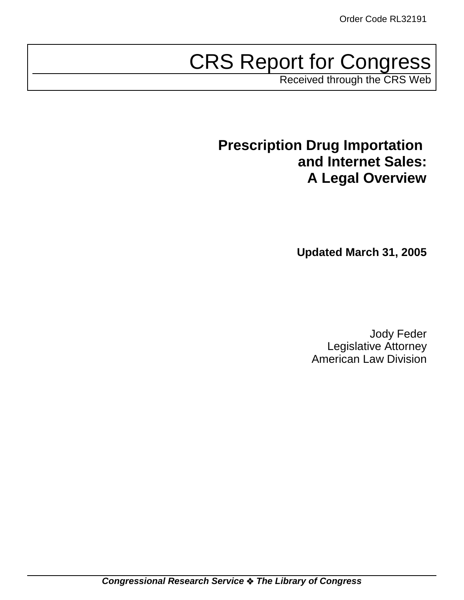# CRS Report for Congress

Received through the CRS Web

## **Prescription Drug Importation and Internet Sales: A Legal Overview**

**Updated March 31, 2005**

Jody Feder Legislative Attorney American Law Division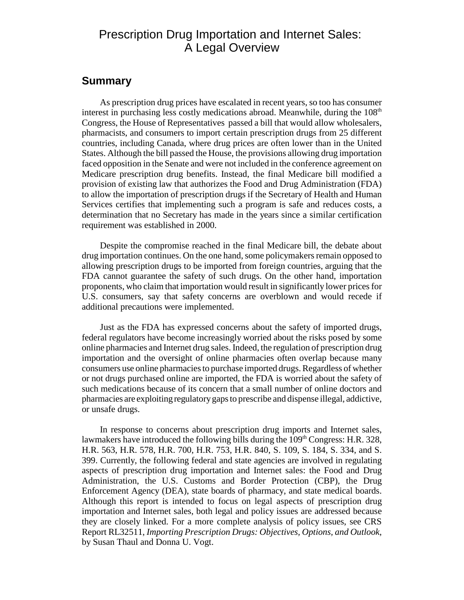## Prescription Drug Importation and Internet Sales: A Legal Overview

## **Summary**

As prescription drug prices have escalated in recent years, so too has consumer interest in purchasing less costly medications abroad. Meanwhile, during the  $108<sup>th</sup>$ Congress, the House of Representatives passed a bill that would allow wholesalers, pharmacists, and consumers to import certain prescription drugs from 25 different countries, including Canada, where drug prices are often lower than in the United States. Although the bill passed the House, the provisions allowing drug importation faced opposition in the Senate and were not included in the conference agreement on Medicare prescription drug benefits. Instead, the final Medicare bill modified a provision of existing law that authorizes the Food and Drug Administration (FDA) to allow the importation of prescription drugs if the Secretary of Health and Human Services certifies that implementing such a program is safe and reduces costs, a determination that no Secretary has made in the years since a similar certification requirement was established in 2000.

Despite the compromise reached in the final Medicare bill, the debate about drug importation continues. On the one hand, some policymakers remain opposed to allowing prescription drugs to be imported from foreign countries, arguing that the FDA cannot guarantee the safety of such drugs. On the other hand, importation proponents, who claim that importation would result in significantly lower prices for U.S. consumers, say that safety concerns are overblown and would recede if additional precautions were implemented.

Just as the FDA has expressed concerns about the safety of imported drugs, federal regulators have become increasingly worried about the risks posed by some online pharmacies and Internet drug sales. Indeed, the regulation of prescription drug importation and the oversight of online pharmacies often overlap because many consumers use online pharmacies to purchase imported drugs. Regardless of whether or not drugs purchased online are imported, the FDA is worried about the safety of such medications because of its concern that a small number of online doctors and pharmacies are exploiting regulatory gaps to prescribe and dispense illegal, addictive, or unsafe drugs.

In response to concerns about prescription drug imports and Internet sales, lawmakers have introduced the following bills during the  $109<sup>th</sup> Congress: H.R. 328$ , H.R. 563, H.R. 578, H.R. 700, H.R. 753, H.R. 840, S. 109, S. 184, S. 334, and S. 399. Currently, the following federal and state agencies are involved in regulating aspects of prescription drug importation and Internet sales: the Food and Drug Administration, the U.S. Customs and Border Protection (CBP), the Drug Enforcement Agency (DEA), state boards of pharmacy, and state medical boards. Although this report is intended to focus on legal aspects of prescription drug importation and Internet sales, both legal and policy issues are addressed because they are closely linked. For a more complete analysis of policy issues, see CRS Report RL32511, *Importing Prescription Drugs: Objectives, Options, and Outlook*, by Susan Thaul and Donna U. Vogt.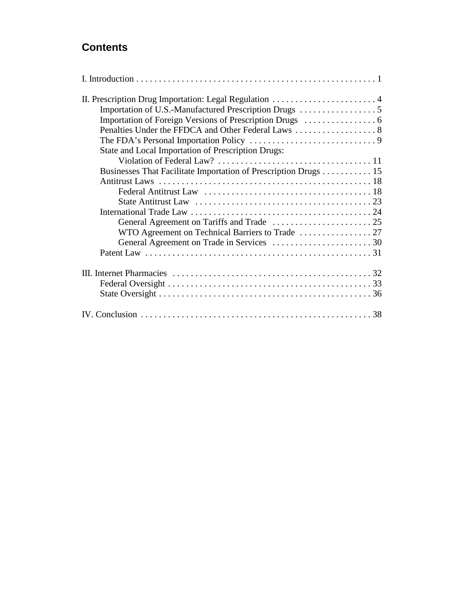## **Contents**

| State and Local Importation of Prescription Drugs:              |  |
|-----------------------------------------------------------------|--|
|                                                                 |  |
| Businesses That Facilitate Importation of Prescription Drugs 15 |  |
|                                                                 |  |
|                                                                 |  |
|                                                                 |  |
|                                                                 |  |
|                                                                 |  |
|                                                                 |  |
|                                                                 |  |
|                                                                 |  |
|                                                                 |  |
|                                                                 |  |
|                                                                 |  |
|                                                                 |  |
|                                                                 |  |
|                                                                 |  |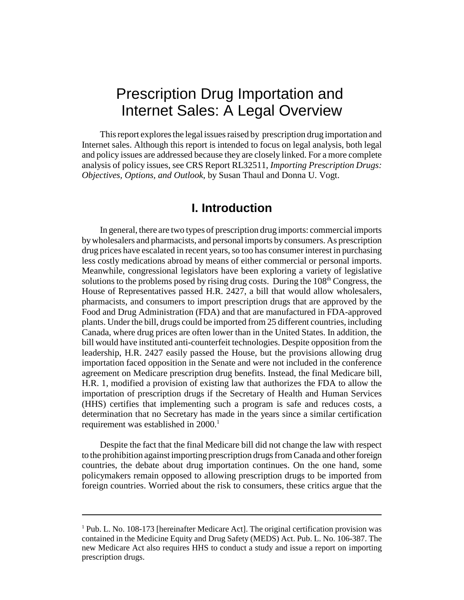## Prescription Drug Importation and Internet Sales: A Legal Overview

This report explores the legal issues raised by prescription drug importation and Internet sales. Although this report is intended to focus on legal analysis, both legal and policy issues are addressed because they are closely linked. For a more complete analysis of policy issues, see CRS Report RL32511, *Importing Prescription Drugs: Objectives, Options, and Outlook*, by Susan Thaul and Donna U. Vogt.

## **I. Introduction**

In general, there are two types of prescription drug imports: commercial imports by wholesalers and pharmacists, and personal imports by consumers. As prescription drug prices have escalated in recent years, so too has consumer interest in purchasing less costly medications abroad by means of either commercial or personal imports. Meanwhile, congressional legislators have been exploring a variety of legislative solutions to the problems posed by rising drug costs. During the  $108<sup>th</sup>$  Congress, the House of Representatives passed H.R. 2427, a bill that would allow wholesalers, pharmacists, and consumers to import prescription drugs that are approved by the Food and Drug Administration (FDA) and that are manufactured in FDA-approved plants. Under the bill, drugs could be imported from 25 different countries, including Canada, where drug prices are often lower than in the United States. In addition, the bill would have instituted anti-counterfeit technologies. Despite opposition from the leadership, H.R. 2427 easily passed the House, but the provisions allowing drug importation faced opposition in the Senate and were not included in the conference agreement on Medicare prescription drug benefits. Instead, the final Medicare bill, H.R. 1, modified a provision of existing law that authorizes the FDA to allow the importation of prescription drugs if the Secretary of Health and Human Services (HHS) certifies that implementing such a program is safe and reduces costs, a determination that no Secretary has made in the years since a similar certification requirement was established in 2000.<sup>1</sup>

Despite the fact that the final Medicare bill did not change the law with respect to the prohibition against importing prescription drugs from Canada and other foreign countries, the debate about drug importation continues. On the one hand, some policymakers remain opposed to allowing prescription drugs to be imported from foreign countries. Worried about the risk to consumers, these critics argue that the

<sup>&</sup>lt;sup>1</sup> Pub. L. No. 108-173 [hereinafter Medicare Act]. The original certification provision was contained in the Medicine Equity and Drug Safety (MEDS) Act. Pub. L. No. 106-387. The new Medicare Act also requires HHS to conduct a study and issue a report on importing prescription drugs.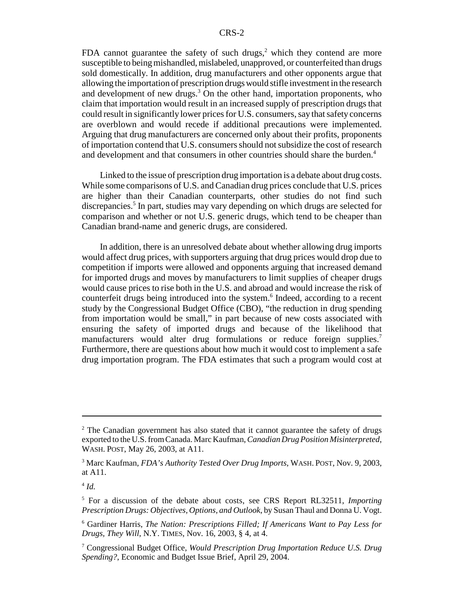FDA cannot guarantee the safety of such drugs, $2$  which they contend are more susceptible to being mishandled, mislabeled, unapproved, or counterfeited than drugs sold domestically. In addition, drug manufacturers and other opponents argue that allowing the importation of prescription drugs would stifle investment in the research and development of new drugs.<sup>3</sup> On the other hand, importation proponents, who claim that importation would result in an increased supply of prescription drugs that could result in significantly lower prices for U.S. consumers, say that safety concerns are overblown and would recede if additional precautions were implemented. Arguing that drug manufacturers are concerned only about their profits, proponents of importation contend that U.S. consumers should not subsidize the cost of research and development and that consumers in other countries should share the burden.<sup>4</sup>

Linked to the issue of prescription drug importation is a debate about drug costs. While some comparisons of U.S. and Canadian drug prices conclude that U.S. prices are higher than their Canadian counterparts, other studies do not find such discrepancies.<sup>5</sup> In part, studies may vary depending on which drugs are selected for comparison and whether or not U.S. generic drugs, which tend to be cheaper than Canadian brand-name and generic drugs, are considered.

In addition, there is an unresolved debate about whether allowing drug imports would affect drug prices, with supporters arguing that drug prices would drop due to competition if imports were allowed and opponents arguing that increased demand for imported drugs and moves by manufacturers to limit supplies of cheaper drugs would cause prices to rise both in the U.S. and abroad and would increase the risk of counterfeit drugs being introduced into the system.<sup>6</sup> Indeed, according to a recent study by the Congressional Budget Office (CBO), "the reduction in drug spending from importation would be small," in part because of new costs associated with ensuring the safety of imported drugs and because of the likelihood that manufacturers would alter drug formulations or reduce foreign supplies.<sup>7</sup> Furthermore, there are questions about how much it would cost to implement a safe drug importation program. The FDA estimates that such a program would cost at

 $2$  The Canadian government has also stated that it cannot guarantee the safety of drugs exported to the U.S. from Canada. Marc Kaufman, *Canadian Drug Position Misinterpreted*, WASH. POST, May 26, 2003, at A11.

<sup>3</sup> Marc Kaufman, *FDA's Authority Tested Over Drug Imports*, WASH. POST, Nov. 9, 2003, at A11.

<sup>4</sup> *Id.*

<sup>5</sup> For a discussion of the debate about costs, see CRS Report RL32511, *Importing Prescription Drugs: Objectives, Options, and Outlook*, by Susan Thaul and Donna U. Vogt.

<sup>6</sup> Gardiner Harris, *The Nation: Prescriptions Filled; If Americans Want to Pay Less for Drugs, They Will*, N.Y. TIMES, Nov. 16, 2003, § 4, at 4.

<sup>7</sup> Congressional Budget Office, *Would Prescription Drug Importation Reduce U.S. Drug Spending?*, Economic and Budget Issue Brief, April 29, 2004.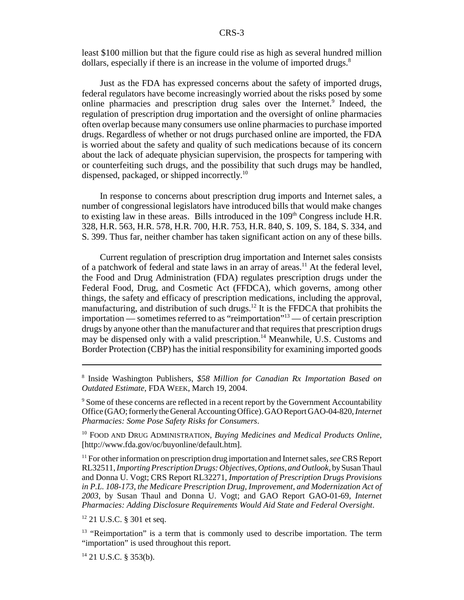least \$100 million but that the figure could rise as high as several hundred million dollars, especially if there is an increase in the volume of imported drugs.<sup>8</sup>

Just as the FDA has expressed concerns about the safety of imported drugs, federal regulators have become increasingly worried about the risks posed by some online pharmacies and prescription drug sales over the Internet.<sup>9</sup> Indeed, the regulation of prescription drug importation and the oversight of online pharmacies often overlap because many consumers use online pharmacies to purchase imported drugs. Regardless of whether or not drugs purchased online are imported, the FDA is worried about the safety and quality of such medications because of its concern about the lack of adequate physician supervision, the prospects for tampering with or counterfeiting such drugs, and the possibility that such drugs may be handled, dispensed, packaged, or shipped incorrectly.10

In response to concerns about prescription drug imports and Internet sales, a number of congressional legislators have introduced bills that would make changes to existing law in these areas. Bills introduced in the  $109<sup>th</sup>$  Congress include H.R. 328, H.R. 563, H.R. 578, H.R. 700, H.R. 753, H.R. 840, S. 109, S. 184, S. 334, and S. 399. Thus far, neither chamber has taken significant action on any of these bills.

Current regulation of prescription drug importation and Internet sales consists of a patchwork of federal and state laws in an array of areas.<sup>11</sup> At the federal level, the Food and Drug Administration (FDA) regulates prescription drugs under the Federal Food, Drug, and Cosmetic Act (FFDCA), which governs, among other things, the safety and efficacy of prescription medications, including the approval, manufacturing, and distribution of such drugs.12 It is the FFDCA that prohibits the importation — sometimes referred to as "reimportation"13 — of certain prescription drugs by anyone other than the manufacturer and that requires that prescription drugs may be dispensed only with a valid prescription.<sup>14</sup> Meanwhile, U.S. Customs and Border Protection (CBP) has the initial responsibility for examining imported goods

<sup>8</sup> Inside Washington Publishers, *\$58 Million for Canadian Rx Importation Based on Outdated Estimate*, FDA WEEK, March 19, 2004.

<sup>&</sup>lt;sup>9</sup> Some of these concerns are reflected in a recent report by the Government Accountability Office (GAO; formerly the General Accounting Office). GAO Report GAO-04-820, *Internet Pharmacies: Some Pose Safety Risks for Consumers*.

<sup>10</sup> FOOD AND DRUG ADMINISTRATION, *Buying Medicines and Medical Products Online*, [http://www.fda.gov/oc/buyonline/default.htm].

<sup>11</sup> For other information on prescription drug importation and Internet sales, *see* CRS Report RL32511, *Importing Prescription Drugs: Objectives, Options, and Outlook*, by Susan Thaul and Donna U. Vogt; CRS Report RL32271, *Importation of Prescription Drugs Provisions in P.L. 108-173, the Medicare Prescription Drug, Improvement, and Modernization Act of 2003*, by Susan Thaul and Donna U. Vogt; and GAO Report GAO-01-69, *Internet Pharmacies: Adding Disclosure Requirements Would Aid State and Federal Oversight*.

<sup>&</sup>lt;sup>12</sup> 21 U.S.C. § 301 et seq.

<sup>&</sup>lt;sup>13</sup> "Reimportation" is a term that is commonly used to describe importation. The term "importation" is used throughout this report.

 $14$  21 U.S.C. § 353(b).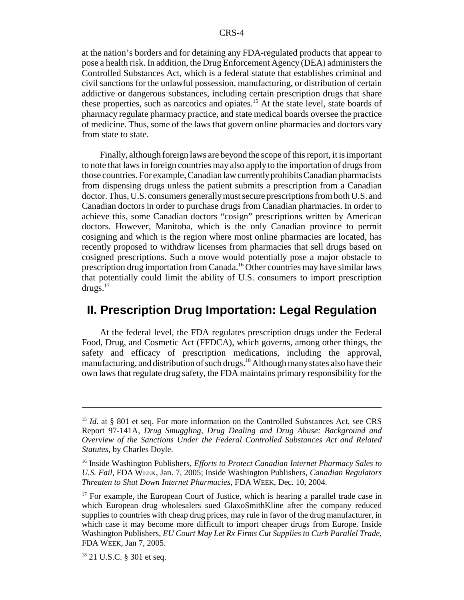at the nation's borders and for detaining any FDA-regulated products that appear to pose a health risk. In addition, the Drug Enforcement Agency (DEA) administers the Controlled Substances Act, which is a federal statute that establishes criminal and civil sanctions for the unlawful possession, manufacturing, or distribution of certain addictive or dangerous substances, including certain prescription drugs that share these properties, such as narcotics and opiates.15 At the state level, state boards of pharmacy regulate pharmacy practice, and state medical boards oversee the practice of medicine. Thus, some of the laws that govern online pharmacies and doctors vary from state to state.

Finally, although foreign laws are beyond the scope of this report, it is important to note that laws in foreign countries may also apply to the importation of drugs from those countries. For example, Canadian law currently prohibits Canadian pharmacists from dispensing drugs unless the patient submits a prescription from a Canadian doctor. Thus, U.S. consumers generally must secure prescriptions from both U.S. and Canadian doctors in order to purchase drugs from Canadian pharmacies. In order to achieve this, some Canadian doctors "cosign" prescriptions written by American doctors. However, Manitoba, which is the only Canadian province to permit cosigning and which is the region where most online pharmacies are located, has recently proposed to withdraw licenses from pharmacies that sell drugs based on cosigned prescriptions. Such a move would potentially pose a major obstacle to prescription drug importation from Canada.16 Other countries may have similar laws that potentially could limit the ability of U.S. consumers to import prescription drugs.17

## **II. Prescription Drug Importation: Legal Regulation**

At the federal level, the FDA regulates prescription drugs under the Federal Food, Drug, and Cosmetic Act (FFDCA), which governs, among other things, the safety and efficacy of prescription medications, including the approval, manufacturing, and distribution of such drugs.<sup>18</sup> Although many states also have their own laws that regulate drug safety, the FDA maintains primary responsibility for the

<sup>&</sup>lt;sup>15</sup> *Id.* at § 801 et seq. For more information on the Controlled Substances Act, see CRS Report 97-141A, *Drug Smuggling, Drug Dealing and Drug Abuse: Background and Overview of the Sanctions Under the Federal Controlled Substances Act and Related Statutes*, by Charles Doyle.

<sup>16</sup> Inside Washington Publishers, *Efforts to Protect Canadian Internet Pharmacy Sales to U.S. Fail,* FDA WEEK, Jan. 7, 2005; Inside Washington Publishers, *Canadian Regulators Threaten to Shut Down Internet Pharmacies,* FDA WEEK, Dec. 10, 2004.

<sup>&</sup>lt;sup>17</sup> For example, the European Court of Justice, which is hearing a parallel trade case in which European drug wholesalers sued GlaxoSmithKline after the company reduced supplies to countries with cheap drug prices, may rule in favor of the drug manufacturer, in which case it may become more difficult to import cheaper drugs from Europe. Inside Washington Publishers, *EU Court May Let Rx Firms Cut Supplies to Curb Parallel Trade*, FDA WEEK, Jan 7, 2005.

<sup>&</sup>lt;sup>18</sup> 21 U.S.C. § 301 et seq.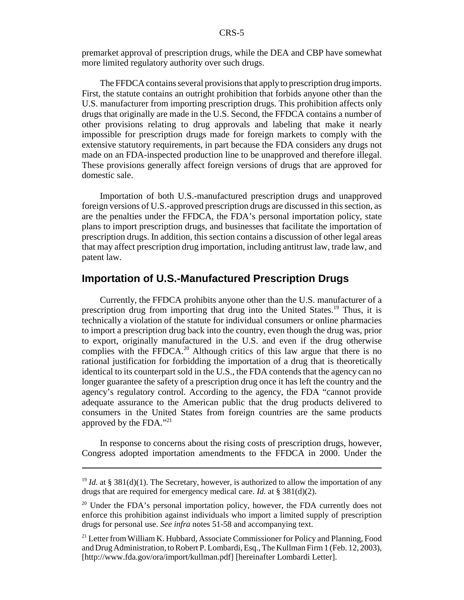premarket approval of prescription drugs, while the DEA and CBP have somewhat more limited regulatory authority over such drugs.

The FFDCA contains several provisions that apply to prescription drug imports. First, the statute contains an outright prohibition that forbids anyone other than the U.S. manufacturer from importing prescription drugs. This prohibition affects only drugs that originally are made in the U.S. Second, the FFDCA contains a number of other provisions relating to drug approvals and labeling that make it nearly impossible for prescription drugs made for foreign markets to comply with the extensive statutory requirements, in part because the FDA considers any drugs not made on an FDA-inspected production line to be unapproved and therefore illegal. These provisions generally affect foreign versions of drugs that are approved for domestic sale.

Importation of both U.S.-manufactured prescription drugs and unapproved foreign versions of U.S.-approved prescription drugs are discussed in this section, as are the penalties under the FFDCA, the FDA's personal importation policy, state plans to import prescription drugs, and businesses that facilitate the importation of prescription drugs. In addition, this section contains a discussion of other legal areas that may affect prescription drug importation, including antitrust law, trade law, and patent law.

## **Importation of U.S.-Manufactured Prescription Drugs**

Currently, the FFDCA prohibits anyone other than the U.S. manufacturer of a prescription drug from importing that drug into the United States.19 Thus, it is technically a violation of the statute for individual consumers or online pharmacies to import a prescription drug back into the country, even though the drug was, prior to export, originally manufactured in the U.S. and even if the drug otherwise complies with the FFDCA.<sup>20</sup> Although critics of this law argue that there is no rational justification for forbidding the importation of a drug that is theoretically identical to its counterpart sold in the U.S., the FDA contends that the agency can no longer guarantee the safety of a prescription drug once it has left the country and the agency's regulatory control. According to the agency, the FDA "cannot provide adequate assurance to the American public that the drug products delivered to consumers in the United States from foreign countries are the same products approved by the FDA."21

In response to concerns about the rising costs of prescription drugs, however, Congress adopted importation amendments to the FFDCA in 2000. Under the

<sup>&</sup>lt;sup>19</sup> *Id.* at § 381(d)(1). The Secretary, however, is authorized to allow the importation of any drugs that are required for emergency medical care. *Id.* at § 381(d)(2).

 $20$  Under the FDA's personal importation policy, however, the FDA currently does not enforce this prohibition against individuals who import a limited supply of prescription drugs for personal use. *See infra* notes 51-58 and accompanying text.

<sup>&</sup>lt;sup>21</sup> Letter from William K. Hubbard, Associate Commissioner for Policy and Planning, Food and Drug Administration, to Robert P. Lombardi, Esq., The Kullman Firm 1 (Feb. 12, 2003), [http://www.fda.gov/ora/import/kullman.pdf] [hereinafter Lombardi Letter].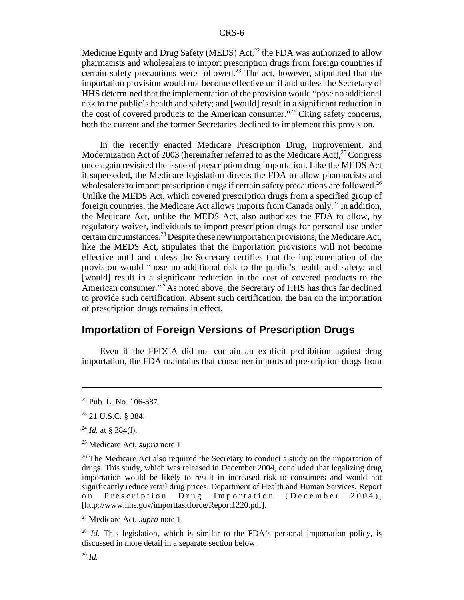Medicine Equity and Drug Safety (MEDS) Act,<sup>22</sup> the FDA was authorized to allow pharmacists and wholesalers to import prescription drugs from foreign countries if certain safety precautions were followed.<sup>23</sup> The act, however, stipulated that the importation provision would not become effective until and unless the Secretary of HHS determined that the implementation of the provision would "pose no additional risk to the public's health and safety; and [would] result in a significant reduction in the cost of covered products to the American consumer."24 Citing safety concerns, both the current and the former Secretaries declined to implement this provision.

In the recently enacted Medicare Prescription Drug, Improvement, and Modernization Act of 2003 (hereinafter referred to as the Medicare Act),  $25$  Congress once again revisited the issue of prescription drug importation. Like the MEDS Act it superseded, the Medicare legislation directs the FDA to allow pharmacists and wholesalers to import prescription drugs if certain safety precautions are followed.<sup>26</sup> Unlike the MEDS Act, which covered prescription drugs from a specified group of foreign countries, the Medicare Act allows imports from Canada only.<sup>27</sup> In addition, the Medicare Act, unlike the MEDS Act, also authorizes the FDA to allow, by regulatory waiver, individuals to import prescription drugs for personal use under certain circumstances.28 Despite these new importation provisions, the Medicare Act, like the MEDS Act, stipulates that the importation provisions will not become effective until and unless the Secretary certifies that the implementation of the provision would "pose no additional risk to the public's health and safety; and [would] result in a significant reduction in the cost of covered products to the American consumer." $^{29}$ As noted above, the Secretary of HHS has thus far declined to provide such certification. Absent such certification, the ban on the importation of prescription drugs remains in effect.

## **Importation of Foreign Versions of Prescription Drugs**

Even if the FFDCA did not contain an explicit prohibition against drug importation, the FDA maintains that consumer imports of prescription drugs from

<sup>22</sup> Pub. L. No. 106-387.

<sup>23 21</sup> U.S.C. § 384.

 $^{24}$  *Id.* at § 384(1).

<sup>25</sup> Medicare Act, *supra* note 1.

<sup>&</sup>lt;sup>26</sup> The Medicare Act also required the Secretary to conduct a study on the importation of drugs. This study, which was released in December 2004, concluded that legalizing drug importation would be likely to result in increased risk to consumers and would not significantly reduce retail drug prices. Department of Health and Human Services, Report on Prescription Drug Importation (December 2004), [http://www.hhs.gov/importtaskforce/Report1220.pdf].

<sup>27</sup> Medicare Act, *supra* note 1.

<sup>&</sup>lt;sup>28</sup> *Id.* This legislation, which is similar to the FDA's personal importation policy, is discussed in more detail in a separate section below.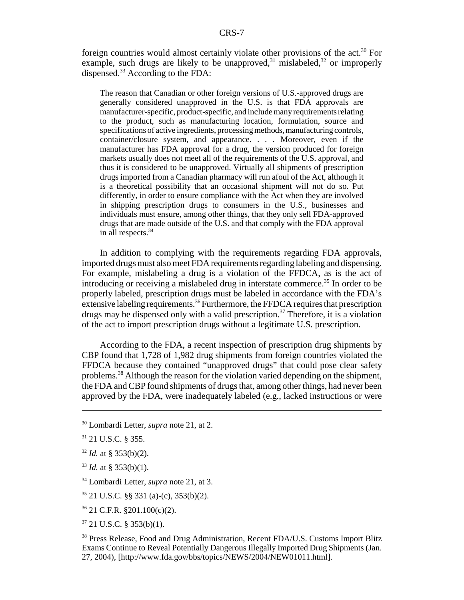foreign countries would almost certainly violate other provisions of the act. $30$  For example, such drugs are likely to be unapproved,<sup>31</sup> mislabeled,<sup>32</sup> or improperly dispensed.<sup>33</sup> According to the FDA:

The reason that Canadian or other foreign versions of U.S.-approved drugs are generally considered unapproved in the U.S. is that FDA approvals are manufacturer-specific, product-specific, and include many requirements relating to the product, such as manufacturing location, formulation, source and specifications of active ingredients, processing methods, manufacturing controls, container/closure system, and appearance. . . . Moreover, even if the manufacturer has FDA approval for a drug, the version produced for foreign markets usually does not meet all of the requirements of the U.S. approval, and thus it is considered to be unapproved. Virtually all shipments of prescription drugs imported from a Canadian pharmacy will run afoul of the Act, although it is a theoretical possibility that an occasional shipment will not do so. Put differently, in order to ensure compliance with the Act when they are involved in shipping prescription drugs to consumers in the U.S., businesses and individuals must ensure, among other things, that they only sell FDA-approved drugs that are made outside of the U.S. and that comply with the FDA approval in all respects.34

In addition to complying with the requirements regarding FDA approvals, imported drugs must also meet FDA requirements regarding labeling and dispensing. For example, mislabeling a drug is a violation of the FFDCA, as is the act of introducing or receiving a mislabeled drug in interstate commerce.<sup>35</sup> In order to be properly labeled, prescription drugs must be labeled in accordance with the FDA's extensive labeling requirements.<sup>36</sup> Furthermore, the FFDCA requires that prescription drugs may be dispensed only with a valid prescription.<sup>37</sup> Therefore, it is a violation of the act to import prescription drugs without a legitimate U.S. prescription.

According to the FDA, a recent inspection of prescription drug shipments by CBP found that 1,728 of 1,982 drug shipments from foreign countries violated the FFDCA because they contained "unapproved drugs" that could pose clear safety problems.38 Although the reason for the violation varied depending on the shipment, the FDA and CBP found shipments of drugs that, among other things, had never been approved by the FDA, were inadequately labeled (e.g., lacked instructions or were

- $32$  *Id.* at § 353(b)(2).
- $33$  *Id.* at § 353(b)(1).
- 34 Lombardi Letter, *supra* note 21, at 3.
- 35 21 U.S.C. §§ 331 (a)-(c), 353(b)(2).
- 36 21 C.F.R. §201.100(c)(2).
- $37$  21 U.S.C. § 353(b)(1).

<sup>30</sup> Lombardi Letter, *supra* note 21, at 2.

<sup>31 21</sup> U.S.C. § 355.

<sup>&</sup>lt;sup>38</sup> Press Release, Food and Drug Administration, Recent FDA/U.S. Customs Import Blitz Exams Continue to Reveal Potentially Dangerous Illegally Imported Drug Shipments (Jan. 27, 2004), [http://www.fda.gov/bbs/topics/NEWS/2004/NEW01011.html].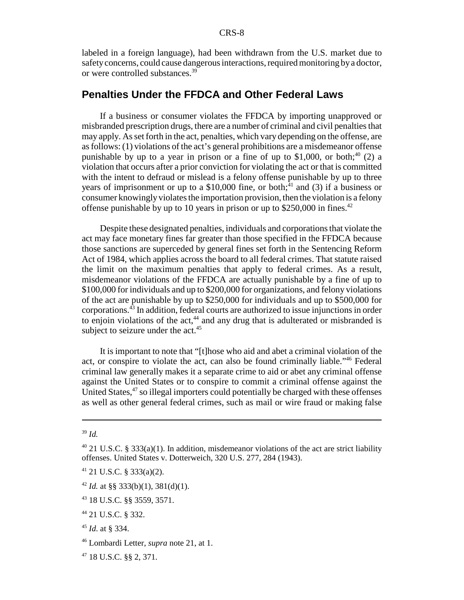labeled in a foreign language), had been withdrawn from the U.S. market due to safety concerns, could cause dangerous interactions, required monitoring by a doctor, or were controlled substances.39

## **Penalties Under the FFDCA and Other Federal Laws**

If a business or consumer violates the FFDCA by importing unapproved or misbranded prescription drugs, there are a number of criminal and civil penalties that may apply. As set forth in the act, penalties, which vary depending on the offense, are as follows: (1) violations of the act's general prohibitions are a misdemeanor offense punishable by up to a year in prison or a fine of up to \$1,000, or both;<sup>40</sup> (2) a violation that occurs after a prior conviction for violating the act or that is committed with the intent to defraud or mislead is a felony offense punishable by up to three years of imprisonment or up to a  $$10,000$  fine, or both;<sup>41</sup> and (3) if a business or consumer knowingly violates the importation provision, then the violation is a felony offense punishable by up to 10 years in prison or up to \$250,000 in fines.<sup>42</sup>

Despite these designated penalties, individuals and corporations that violate the act may face monetary fines far greater than those specified in the FFDCA because those sanctions are superceded by general fines set forth in the Sentencing Reform Act of 1984, which applies across the board to all federal crimes. That statute raised the limit on the maximum penalties that apply to federal crimes. As a result, misdemeanor violations of the FFDCA are actually punishable by a fine of up to \$100,000 for individuals and up to \$200,000 for organizations, and felony violations of the act are punishable by up to \$250,000 for individuals and up to \$500,000 for corporations.43 In addition, federal courts are authorized to issue injunctions in order to enjoin violations of the  $act<sub>44</sub>$  and any drug that is adulterated or misbranded is subject to seizure under the  $act.^{45}$ 

It is important to note that "[t]hose who aid and abet a criminal violation of the act, or conspire to violate the act, can also be found criminally liable."46 Federal criminal law generally makes it a separate crime to aid or abet any criminal offense against the United States or to conspire to commit a criminal offense against the United States, $47$  so illegal importers could potentially be charged with these offenses as well as other general federal crimes, such as mail or wire fraud or making false

<sup>39</sup> *Id.*

<sup>&</sup>lt;sup>40</sup> 21 U.S.C. § 333(a)(1). In addition, misdemeanor violations of the act are strict liability offenses. United States v. Dotterweich, 320 U.S. 277, 284 (1943).

 $41$  21 U.S.C. § 333(a)(2).

<sup>&</sup>lt;sup>42</sup> *Id.* at §§ 333(b)(1), 381(d)(1).

<sup>43 18</sup> U.S.C. §§ 3559, 3571.

<sup>44 21</sup> U.S.C. § 332.

<sup>45</sup> *Id*. at § 334.

<sup>46</sup> Lombardi Letter, *supra* note 21, at 1.

<sup>47 18</sup> U.S.C. §§ 2, 371.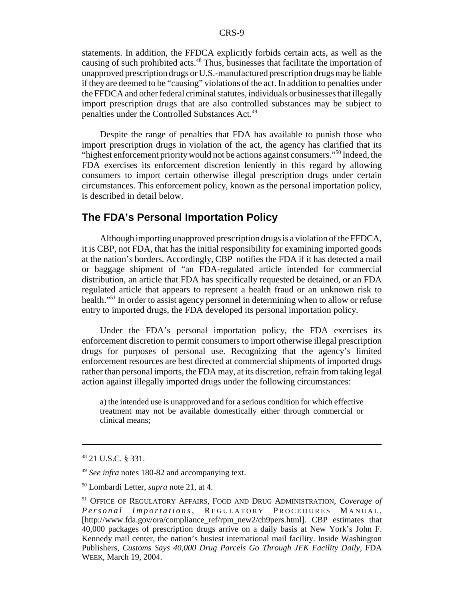statements. In addition, the FFDCA explicitly forbids certain acts, as well as the causing of such prohibited acts.<sup>48</sup> Thus, businesses that facilitate the importation of unapproved prescription drugs or U.S.-manufactured prescription drugs may be liable if they are deemed to be "causing" violations of the act. In addition to penalties under the FFDCA and other federal criminal statutes, individuals or businesses that illegally import prescription drugs that are also controlled substances may be subject to penalties under the Controlled Substances Act.49

Despite the range of penalties that FDA has available to punish those who import prescription drugs in violation of the act, the agency has clarified that its "highest enforcement priority would not be actions against consumers."50 Indeed, the FDA exercises its enforcement discretion leniently in this regard by allowing consumers to import certain otherwise illegal prescription drugs under certain circumstances. This enforcement policy, known as the personal importation policy, is described in detail below.

## **The FDA's Personal Importation Policy**

Although importing unapproved prescription drugs is a violation of the FFDCA, it is CBP, not FDA, that has the initial responsibility for examining imported goods at the nation's borders. Accordingly, CBP notifies the FDA if it has detected a mail or baggage shipment of "an FDA-regulated article intended for commercial distribution, an article that FDA has specifically requested be detained, or an FDA regulated article that appears to represent a health fraud or an unknown risk to health."51 In order to assist agency personnel in determining when to allow or refuse entry to imported drugs, the FDA developed its personal importation policy.

Under the FDA's personal importation policy, the FDA exercises its enforcement discretion to permit consumers to import otherwise illegal prescription drugs for purposes of personal use. Recognizing that the agency's limited enforcement resources are best directed at commercial shipments of imported drugs rather than personal imports, the FDA may, at its discretion, refrain from taking legal action against illegally imported drugs under the following circumstances:

a) the intended use is unapproved and for a serious condition for which effective treatment may not be available domestically either through commercial or clinical means;

<sup>48 21</sup> U.S.C. § 331.

<sup>49</sup> *See infra* notes 180-82 and accompanying text.

<sup>50</sup> Lombardi Letter, *supra* note 21, at 4.

<sup>51</sup> OFFICE OF REGULATORY AFFAIRS, FOOD AND DRUG ADMINISTRATION, *Coverage of Personal Importations*, REGULATORY PROCEDURES MANUAL, [http://www.fda.gov/ora/compliance\_ref/rpm\_new2/ch9pers.html]. CBP estimates that 40,000 packages of prescription drugs arrive on a daily basis at New York's John F. Kennedy mail center, the nation's busiest international mail facility. Inside Washington Publishers, *Customs Says 40,000 Drug Parcels Go Through JFK Facility Daily*, FDA WEEK, March 19, 2004.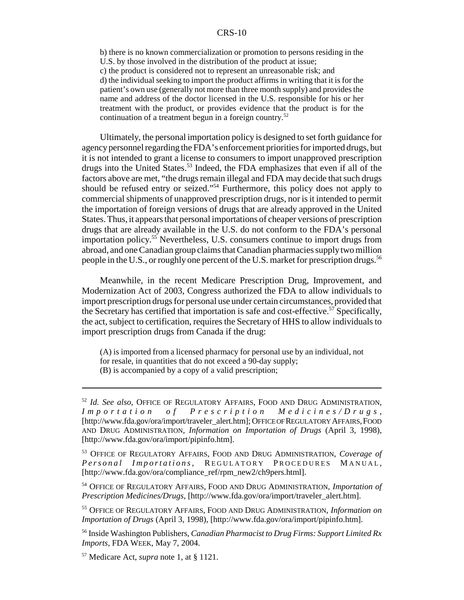b) there is no known commercialization or promotion to persons residing in the U.S. by those involved in the distribution of the product at issue; c) the product is considered not to represent an unreasonable risk; and d) the individual seeking to import the product affirms in writing that it is for the patient's own use (generally not more than three month supply) and provides the name and address of the doctor licensed in the U.S. responsible for his or her treatment with the product, or provides evidence that the product is for the continuation of a treatment begun in a foreign country.<sup>52</sup>

Ultimately, the personal importation policy is designed to set forth guidance for agency personnel regarding the FDA's enforcement priorities for imported drugs, but it is not intended to grant a license to consumers to import unapproved prescription drugs into the United States.<sup>53</sup> Indeed, the FDA emphasizes that even if all of the factors above are met, "the drugs remain illegal and FDA may decide that such drugs should be refused entry or seized."54 Furthermore, this policy does not apply to commercial shipments of unapproved prescription drugs, nor is it intended to permit the importation of foreign versions of drugs that are already approved in the United States. Thus, it appears that personal importations of cheaper versions of prescription drugs that are already available in the U.S. do not conform to the FDA's personal importation policy.55 Nevertheless, U.S. consumers continue to import drugs from abroad, and one Canadian group claims that Canadian pharmacies supply two million people in the U.S., or roughly one percent of the U.S. market for prescription drugs.<sup>56</sup>

Meanwhile, in the recent Medicare Prescription Drug, Improvement, and Modernization Act of 2003, Congress authorized the FDA to allow individuals to import prescription drugs for personal use under certain circumstances, provided that the Secretary has certified that importation is safe and cost-effective.<sup>57</sup> Specifically, the act, subject to certification, requires the Secretary of HHS to allow individuals to import prescription drugs from Canada if the drug:

(A) is imported from a licensed pharmacy for personal use by an individual, not for resale, in quantities that do not exceed a 90-day supply;

(B) is accompanied by a copy of a valid prescription;

<sup>&</sup>lt;sup>52</sup> *Id. See also*, OFFICE OF REGULATORY AFFAIRS, FOOD AND DRUG ADMINISTRATION, I m p o r t a t i o n o f P r e s c r i p t i o n M e d i c i n e s / D r u g s, *Importation of Prescription Medicines/Drugs* , [http://www.fda.gov/ora/import/traveler\_alert.htm]; OFFICE OF REGULATORY AFFAIRS,FOOD AND DRUG ADMINISTRATION, *Information on Importation of Drugs* (April 3, 1998), [http://www.fda.gov/ora/import/pipinfo.htm].

<sup>53</sup> OFFICE OF REGULATORY AFFAIRS, FOOD AND DRUG ADMINISTRATION, *Coverage of Personal Importations*, REGULATORY PROCEDURES MANUAL, [http://www.fda.gov/ora/compliance\_ref/rpm\_new2/ch9pers.html].

<sup>54</sup> OFFICE OF REGULATORY AFFAIRS, FOOD AND DRUG ADMINISTRATION, *Importation of Prescription Medicines/Drugs*, [http://www.fda.gov/ora/import/traveler\_alert.htm].

<sup>55</sup> OFFICE OF REGULATORY AFFAIRS, FOOD AND DRUG ADMINISTRATION, *Information on Importation of Drugs* (April 3, 1998), [http://www.fda.gov/ora/import/pipinfo.htm].

<sup>56</sup> Inside Washington Publishers, *Canadian Pharmacist to Drug Firms: Support Limited Rx Imports,* FDA WEEK, May 7, 2004.

<sup>57</sup> Medicare Act, *supra* note 1, at § 1121.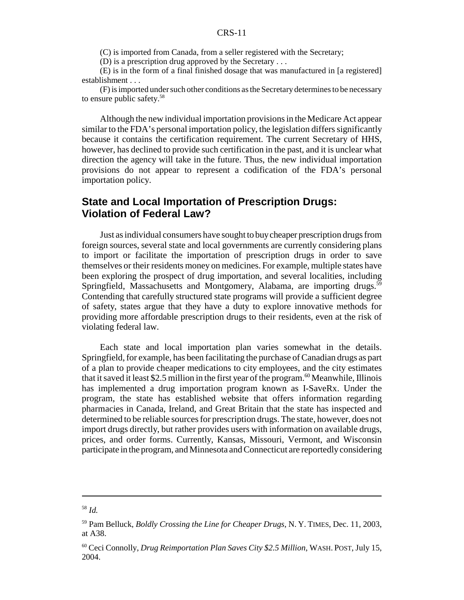(C) is imported from Canada, from a seller registered with the Secretary;

(D) is a prescription drug approved by the Secretary . . .

(E) is in the form of a final finished dosage that was manufactured in [a registered] establishment . . .

(F) is imported under such other conditions as the Secretary determines to be necessary to ensure public safety.58

Although the new individual importation provisions in the Medicare Act appear similar to the FDA's personal importation policy, the legislation differs significantly because it contains the certification requirement. The current Secretary of HHS, however, has declined to provide such certification in the past, and it is unclear what direction the agency will take in the future. Thus, the new individual importation provisions do not appear to represent a codification of the FDA's personal importation policy.

## **State and Local Importation of Prescription Drugs: Violation of Federal Law?**

Just as individual consumers have sought to buy cheaper prescription drugs from foreign sources, several state and local governments are currently considering plans to import or facilitate the importation of prescription drugs in order to save themselves or their residents money on medicines. For example, multiple states have been exploring the prospect of drug importation, and several localities, including Springfield, Massachusetts and Montgomery, Alabama, are importing drugs.<sup>59</sup> Contending that carefully structured state programs will provide a sufficient degree of safety, states argue that they have a duty to explore innovative methods for providing more affordable prescription drugs to their residents, even at the risk of violating federal law.

Each state and local importation plan varies somewhat in the details. Springfield, for example, has been facilitating the purchase of Canadian drugs as part of a plan to provide cheaper medications to city employees, and the city estimates that it saved it least \$2.5 million in the first year of the program.<sup>60</sup> Meanwhile, Illinois has implemented a drug importation program known as I-SaveRx. Under the program, the state has established website that offers information regarding pharmacies in Canada, Ireland, and Great Britain that the state has inspected and determined to be reliable sources for prescription drugs. The state, however, does not import drugs directly, but rather provides users with information on available drugs, prices, and order forms. Currently, Kansas, Missouri, Vermont, and Wisconsin participate in the program, and Minnesota and Connecticut are reportedly considering

<sup>58</sup> *Id.*

<sup>59</sup> Pam Belluck, *Boldly Crossing the Line for Cheaper Drugs*, N. Y. TIMES, Dec. 11, 2003, at A38.

<sup>60</sup> Ceci Connolly, *Drug Reimportation Plan Saves City \$2.5 Million*, WASH. POST, July 15, 2004.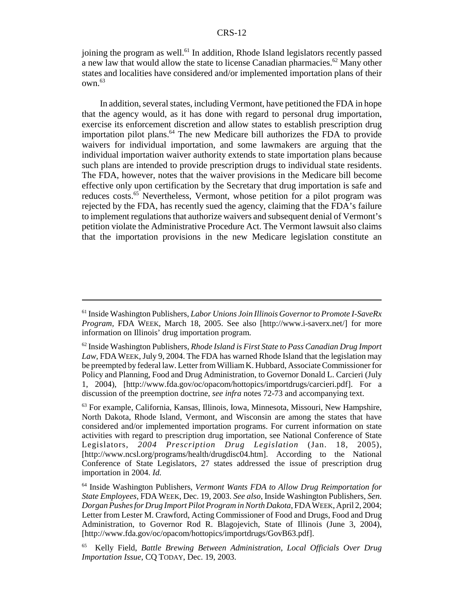joining the program as well.<sup>61</sup> In addition, Rhode Island legislators recently passed a new law that would allow the state to license Canadian pharmacies.62 Many other states and localities have considered and/or implemented importation plans of their own.63

In addition, several states, including Vermont, have petitioned the FDA in hope that the agency would, as it has done with regard to personal drug importation, exercise its enforcement discretion and allow states to establish prescription drug importation pilot plans.<sup>64</sup> The new Medicare bill authorizes the FDA to provide waivers for individual importation, and some lawmakers are arguing that the individual importation waiver authority extends to state importation plans because such plans are intended to provide prescription drugs to individual state residents. The FDA, however, notes that the waiver provisions in the Medicare bill become effective only upon certification by the Secretary that drug importation is safe and reduces costs.<sup>65</sup> Nevertheless, Vermont, whose petition for a pilot program was rejected by the FDA, has recently sued the agency, claiming that the FDA's failure to implement regulations that authorize waivers and subsequent denial of Vermont's petition violate the Administrative Procedure Act. The Vermont lawsuit also claims that the importation provisions in the new Medicare legislation constitute an

<sup>61</sup> Inside Washington Publishers, *Labor Unions Join Illinois Governor to Promote I-SaveRx Program,* FDA WEEK, March 18, 2005. See also [http://www.i-saverx.net/] for more information on Illinois' drug importation program.

<sup>62</sup> Inside Washington Publishers, *Rhode Island is First State to Pass Canadian Drug Import Law,* FDA WEEK, July 9, 2004. The FDA has warned Rhode Island that the legislation may be preempted by federal law. Letter from William K. Hubbard, Associate Commissioner for Policy and Planning, Food and Drug Administration, to Governor Donald L. Carcieri (July 1, 2004), [http://www.fda.gov/oc/opacom/hottopics/importdrugs/carcieri.pdf]. For a discussion of the preemption doctrine, *see infra* notes 72-73 and accompanying text.

<sup>63</sup> For example, California, Kansas, Illinois, Iowa, Minnesota, Missouri, New Hampshire, North Dakota, Rhode Island, Vermont, and Wisconsin are among the states that have considered and/or implemented importation programs. For current information on state activities with regard to prescription drug importation, see National Conference of State Legislators, *2004 Prescription Drug Legislation* (Jan. 18, 2005), [http://www.ncsl.org/programs/health/drugdisc04.htm]. According to the National Conference of State Legislators, 27 states addressed the issue of prescription drug importation in 2004. *Id.*

<sup>64</sup> Inside Washington Publishers, *Vermont Wants FDA to Allow Drug Reimportation for State Employees,* FDA WEEK, Dec. 19, 2003. *See also*, Inside Washington Publishers, *Sen. Dorgan Pushes for Drug Import Pilot Program in North Dakota*, FDAWEEK, April 2, 2004; Letter from Lester M. Crawford, Acting Commissioner of Food and Drugs, Food and Drug Administration, to Governor Rod R. Blagojevich, State of Illinois (June 3, 2004), [http://www.fda.gov/oc/opacom/hottopics/importdrugs/GovB63.pdf].

<sup>65</sup> Kelly Field, *Battle Brewing Between Administration, Local Officials Over Drug Importation Issue*, CQ TODAY, Dec. 19, 2003.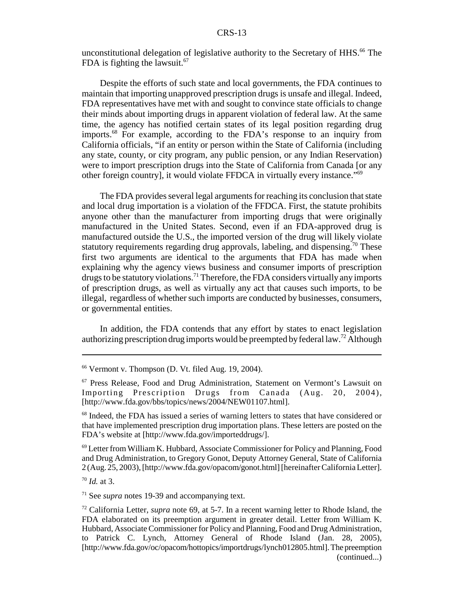unconstitutional delegation of legislative authority to the Secretary of HHS.<sup>66</sup> The FDA is fighting the lawsuit. $67$ 

Despite the efforts of such state and local governments, the FDA continues to maintain that importing unapproved prescription drugs is unsafe and illegal. Indeed, FDA representatives have met with and sought to convince state officials to change their minds about importing drugs in apparent violation of federal law. At the same time, the agency has notified certain states of its legal position regarding drug imports.68 For example, according to the FDA's response to an inquiry from California officials, "if an entity or person within the State of California (including any state, county, or city program, any public pension, or any Indian Reservation) were to import prescription drugs into the State of California from Canada [or any other foreign country], it would violate FFDCA in virtually every instance."69

The FDA provides several legal arguments for reaching its conclusion that state and local drug importation is a violation of the FFDCA. First, the statute prohibits anyone other than the manufacturer from importing drugs that were originally manufactured in the United States. Second, even if an FDA-approved drug is manufactured outside the U.S., the imported version of the drug will likely violate statutory requirements regarding drug approvals, labeling, and dispensing.<sup>70</sup> These first two arguments are identical to the arguments that FDA has made when explaining why the agency views business and consumer imports of prescription drugs to be statutory violations.<sup>71</sup> Therefore, the FDA considers virtually any imports of prescription drugs, as well as virtually any act that causes such imports, to be illegal, regardless of whether such imports are conducted by businesses, consumers, or governmental entities.

In addition, the FDA contends that any effort by states to enact legislation authorizing prescription drug imports would be preempted by federal law.72 Although

<sup>68</sup> Indeed, the FDA has issued a series of warning letters to states that have considered or that have implemented prescription drug importation plans. These letters are posted on the FDA's website at [http://www.fda.gov/importeddrugs/].

69 Letter from William K. Hubbard, Associate Commissioner for Policy and Planning, Food and Drug Administration, to Gregory Gonot, Deputy Attorney General, State of California 2 (Aug. 25, 2003), [http://www.fda.gov/opacom/gonot.html] [hereinafter California Letter].

<sup>70</sup> *Id.* at 3.

71 See *supra* notes 19-39 and accompanying text.

 $66$  Vermont v. Thompson (D. Vt. filed Aug. 19, 2004).

<sup>67</sup> Press Release, Food and Drug Administration, Statement on Vermont's Lawsuit on Importing Prescription Drugs from Canada (Aug. 20, 2004), [http://www.fda.gov/bbs/topics/news/2004/NEW01107.html].

<sup>72</sup> California Letter, *supra* note 69, at 5-7. In a recent warning letter to Rhode Island, the FDA elaborated on its preemption argument in greater detail. Letter from William K. Hubbard, Associate Commissioner for Policy and Planning, Food and Drug Administration, to Patrick C. Lynch, Attorney General of Rhode Island (Jan. 28, 2005), [http://www.fda.gov/oc/opacom/hottopics/importdrugs/lynch012805.html]. The preemption (continued...)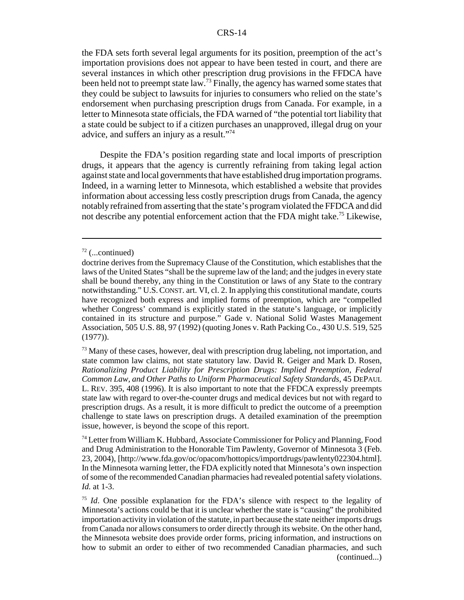the FDA sets forth several legal arguments for its position, preemption of the act's importation provisions does not appear to have been tested in court, and there are several instances in which other prescription drug provisions in the FFDCA have been held not to preempt state law.<sup>73</sup> Finally, the agency has warned some states that they could be subject to lawsuits for injuries to consumers who relied on the state's endorsement when purchasing prescription drugs from Canada. For example, in a letter to Minnesota state officials, the FDA warned of "the potential tort liability that a state could be subject to if a citizen purchases an unapproved, illegal drug on your advice, and suffers an injury as a result."74

Despite the FDA's position regarding state and local imports of prescription drugs, it appears that the agency is currently refraining from taking legal action against state and local governments that have established drug importation programs. Indeed, in a warning letter to Minnesota, which established a website that provides information about accessing less costly prescription drugs from Canada, the agency notably refrained from asserting that the state's program violated the FFDCA and did not describe any potential enforcement action that the FDA might take.<sup>75</sup> Likewise,

 $<sup>73</sup>$  Many of these cases, however, deal with prescription drug labeling, not importation, and</sup> state common law claims, not state statutory law. David R. Geiger and Mark D. Rosen, *Rationalizing Product Liability for Prescription Drugs: Implied Preemption, Federal Common Law, and Other Paths to Uniform Pharmaceutical Safety Standards*, 45 DEPAUL L. REV. 395, 408 (1996). It is also important to note that the FFDCA expressly preempts state law with regard to over-the-counter drugs and medical devices but not with regard to prescription drugs. As a result, it is more difficult to predict the outcome of a preemption challenge to state laws on prescription drugs. A detailed examination of the preemption issue, however, is beyond the scope of this report.

74 Letter from William K. Hubbard, Associate Commissioner for Policy and Planning, Food and Drug Administration to the Honorable Tim Pawlenty, Governor of Minnesota 3 (Feb. 23, 2004), [http://www.fda.gov/oc/opacom/hottopics/importdrugs/pawlenty022304.html]. In the Minnesota warning letter, the FDA explicitly noted that Minnesota's own inspection of some of the recommended Canadian pharmacies had revealed potential safety violations. *Id.* at 1-3.

<sup>75</sup> *Id*. One possible explanation for the FDA's silence with respect to the legality of Minnesota's actions could be that it is unclear whether the state is "causing" the prohibited importation activity in violation of the statute, in part because the state neither imports drugs from Canada nor allows consumers to order directly through its website. On the other hand, the Minnesota website does provide order forms, pricing information, and instructions on how to submit an order to either of two recommended Canadian pharmacies, and such (continued...)

 $72$  (...continued)

doctrine derives from the Supremacy Clause of the Constitution, which establishes that the laws of the United States "shall be the supreme law of the land; and the judges in every state shall be bound thereby, any thing in the Constitution or laws of any State to the contrary notwithstanding." U.S.CONST. art. VI, cl. 2. In applying this constitutional mandate, courts have recognized both express and implied forms of preemption, which are "compelled whether Congress' command is explicitly stated in the statute's language, or implicitly contained in its structure and purpose." Gade v. National Solid Wastes Management Association, 505 U.S. 88, 97 (1992) (quoting Jones v. Rath Packing Co., 430 U.S. 519, 525 (1977)).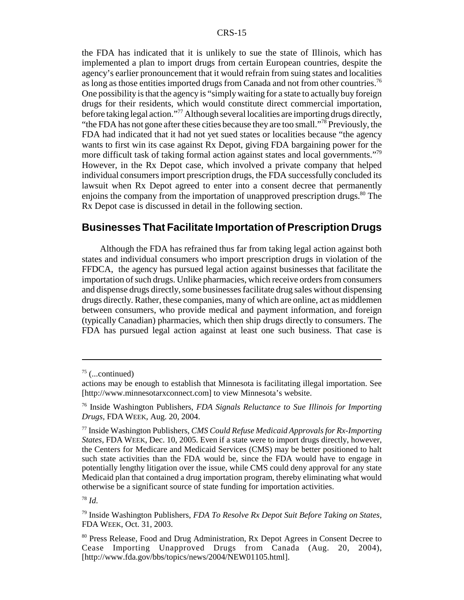the FDA has indicated that it is unlikely to sue the state of Illinois, which has implemented a plan to import drugs from certain European countries, despite the agency's earlier pronouncement that it would refrain from suing states and localities as long as those entities imported drugs from Canada and not from other countries.<sup>76</sup> One possibility is that the agency is "simply waiting for a state to actually buy foreign drugs for their residents, which would constitute direct commercial importation, before taking legal action."<sup>77</sup> Although several localities are importing drugs directly, "the FDA has not gone after these cities because they are too small."78 Previously, the FDA had indicated that it had not yet sued states or localities because "the agency wants to first win its case against Rx Depot, giving FDA bargaining power for the more difficult task of taking formal action against states and local governments."79 However, in the Rx Depot case, which involved a private company that helped individual consumers import prescription drugs, the FDA successfully concluded its lawsuit when Rx Depot agreed to enter into a consent decree that permanently enjoins the company from the importation of unapproved prescription drugs.<sup>80</sup> The Rx Depot case is discussed in detail in the following section.

## **Businesses That Facilitate Importation of Prescription Drugs**

Although the FDA has refrained thus far from taking legal action against both states and individual consumers who import prescription drugs in violation of the FFDCA, the agency has pursued legal action against businesses that facilitate the importation of such drugs. Unlike pharmacies, which receive orders from consumers and dispense drugs directly, some businesses facilitate drug sales without dispensing drugs directly. Rather, these companies, many of which are online, act as middlemen between consumers, who provide medical and payment information, and foreign (typically Canadian) pharmacies, which then ship drugs directly to consumers. The FDA has pursued legal action against at least one such business. That case is

<sup>78</sup> *Id*.

 $75$  (...continued)

actions may be enough to establish that Minnesota is facilitating illegal importation. See [http://www.minnesotarxconnect.com] to view Minnesota's website.

<sup>76</sup> Inside Washington Publishers, *FDA Signals Reluctance to Sue Illinois for Importing Drugs,* FDA WEEK, Aug. 20, 2004.

<sup>77</sup> Inside Washington Publishers, *CMS Could Refuse Medicaid Approvals for Rx-Importing States,* FDA WEEK, Dec. 10, 2005. Even if a state were to import drugs directly, however, the Centers for Medicare and Medicaid Services (CMS) may be better positioned to halt such state activities than the FDA would be, since the FDA would have to engage in potentially lengthy litigation over the issue, while CMS could deny approval for any state Medicaid plan that contained a drug importation program, thereby eliminating what would otherwise be a significant source of state funding for importation activities.

<sup>79</sup> Inside Washington Publishers, *FDA To Resolve Rx Depot Suit Before Taking on States,* FDA WEEK, Oct. 31, 2003.

<sup>80</sup> Press Release, Food and Drug Administration, Rx Depot Agrees in Consent Decree to Cease Importing Unapproved Drugs from Canada (Aug. 20, 2004), [http://www.fda.gov/bbs/topics/news/2004/NEW01105.html].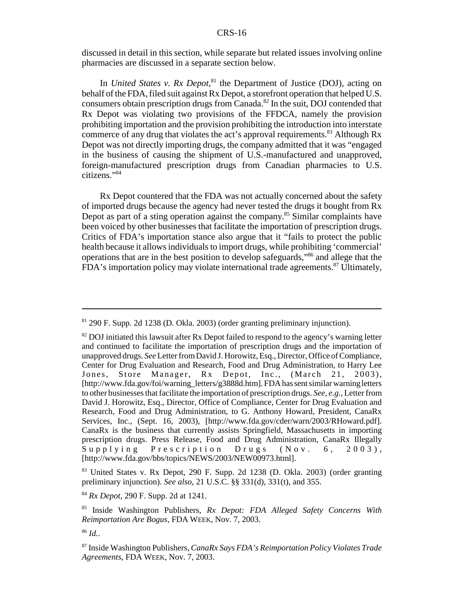discussed in detail in this section, while separate but related issues involving online pharmacies are discussed in a separate section below.

In *United States v. Rx Depot*,<sup>81</sup> the Department of Justice (DOJ), acting on behalf of the FDA, filed suit against Rx Depot, a storefront operation that helped U.S. consumers obtain prescription drugs from Canada.<sup>82</sup> In the suit, DOJ contended that Rx Depot was violating two provisions of the FFDCA, namely the provision prohibiting importation and the provision prohibiting the introduction into interstate commerce of any drug that violates the act's approval requirements.<sup>83</sup> Although Rx Depot was not directly importing drugs, the company admitted that it was "engaged in the business of causing the shipment of U.S.-manufactured and unapproved, foreign-manufactured prescription drugs from Canadian pharmacies to U.S. citizens."84

Rx Depot countered that the FDA was not actually concerned about the safety of imported drugs because the agency had never tested the drugs it bought from Rx Depot as part of a sting operation against the company.<sup>85</sup> Similar complaints have been voiced by other businesses that facilitate the importation of prescription drugs. Critics of FDA's importation stance also argue that it "fails to protect the public health because it allows individuals to import drugs, while prohibiting 'commercial' operations that are in the best position to develop safeguards,"86 and allege that the FDA's importation policy may violate international trade agreements.<sup>87</sup> Ultimately,

<sup>81 290</sup> F. Supp. 2d 1238 (D. Okla. 2003) (order granting preliminary injunction).

 $82$  DOJ initiated this lawsuit after Rx Depot failed to respond to the agency's warning letter and continued to facilitate the importation of prescription drugs and the importation of unapproved drugs. *See* Letter from David J. Horowitz, Esq., Director, Office of Compliance, Center for Drug Evaluation and Research, Food and Drug Administration, to Harry Lee Jones, Store Manager, Rx Depot, Inc., (March 21, 2003), [http://www.fda.gov/foi/warning\_letters/g3888d.htm]. FDA has sent similar warning letters to other businesses that facilitate the importation of prescription drugs. *See, e.g.*, Letter from David J. Horowitz, Esq., Director, Office of Compliance, Center for Drug Evaluation and Research, Food and Drug Administration, to G. Anthony Howard, President, CanaRx Services, Inc., (Sept. 16, 2003), [http://www.fda.gov/cder/warn/2003/RHoward.pdf]. CanaRx is the business that currently assists Springfield, Massachusetts in importing prescription drugs. Press Release, Food and Drug Administration, CanaRx Illegally Supplying Prescription Drugs (Nov. 6, 2003), [http://www.fda.gov/bbs/topics/NEWS/2003/NEW00973.html].

<sup>83</sup> United States v. Rx Depot, 290 F. Supp. 2d 1238 (D. Okla. 2003) (order granting preliminary injunction). *See also*, 21 U.S.C. §§ 331(d), 331(t), and 355.

<sup>84</sup> *Rx Depot*, 290 F. Supp. 2d at 1241.

<sup>85</sup> Inside Washington Publishers, *Rx Depot: FDA Alleged Safety Concerns With Reimportation Are Bogus*, FDA WEEK, Nov. 7, 2003.

<sup>86</sup> *Id.*.

<sup>87</sup> Inside Washington Publishers, *CanaRx Says FDA's Reimportation Policy Violates Trade Agreements*, FDA WEEK, Nov. 7, 2003.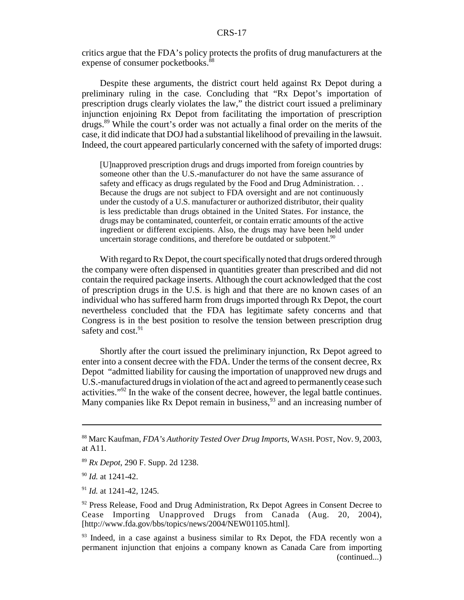critics argue that the FDA's policy protects the profits of drug manufacturers at the expense of consumer pocketbooks.<sup>88</sup>

Despite these arguments, the district court held against Rx Depot during a preliminary ruling in the case. Concluding that "Rx Depot's importation of prescription drugs clearly violates the law," the district court issued a preliminary injunction enjoining Rx Depot from facilitating the importation of prescription drugs.89 While the court's order was not actually a final order on the merits of the case, it did indicate that DOJ had a substantial likelihood of prevailing in the lawsuit. Indeed, the court appeared particularly concerned with the safety of imported drugs:

[U]napproved prescription drugs and drugs imported from foreign countries by someone other than the U.S.-manufacturer do not have the same assurance of safety and efficacy as drugs regulated by the Food and Drug Administration. . . Because the drugs are not subject to FDA oversight and are not continuously under the custody of a U.S. manufacturer or authorized distributor, their quality is less predictable than drugs obtained in the United States. For instance, the drugs may be contaminated, counterfeit, or contain erratic amounts of the active ingredient or different excipients. Also, the drugs may have been held under uncertain storage conditions, and therefore be outdated or subpotent.<sup>90</sup>

With regard to Rx Depot, the court specifically noted that drugs ordered through the company were often dispensed in quantities greater than prescribed and did not contain the required package inserts. Although the court acknowledged that the cost of prescription drugs in the U.S. is high and that there are no known cases of an individual who has suffered harm from drugs imported through Rx Depot, the court nevertheless concluded that the FDA has legitimate safety concerns and that Congress is in the best position to resolve the tension between prescription drug safety and cost.<sup>91</sup>

Shortly after the court issued the preliminary injunction, Rx Depot agreed to enter into a consent decree with the FDA. Under the terms of the consent decree, Rx Depot "admitted liability for causing the importation of unapproved new drugs and U.S.-manufactured drugs in violation of the act and agreed to permanently cease such activities."92 In the wake of the consent decree, however, the legal battle continues. Many companies like Rx Depot remain in business,  $93$  and an increasing number of

<sup>88</sup> Marc Kaufman, *FDA's Authority Tested Over Drug Imports*, WASH. POST, Nov. 9, 2003, at A11.

<sup>89</sup> *Rx Depot*, 290 F. Supp. 2d 1238.

<sup>90</sup> *Id.* at 1241-42.

<sup>91</sup> *Id.* at 1241-42, 1245.

 $92$  Press Release, Food and Drug Administration, Rx Depot Agrees in Consent Decree to Cease Importing Unapproved Drugs from Canada (Aug. 20, 2004), [http://www.fda.gov/bbs/topics/news/2004/NEW01105.html].

<sup>&</sup>lt;sup>93</sup> Indeed, in a case against a business similar to Rx Depot, the FDA recently won a permanent injunction that enjoins a company known as Canada Care from importing (continued...)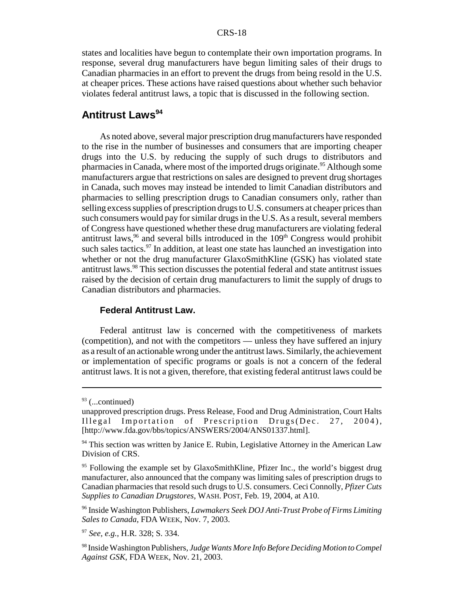states and localities have begun to contemplate their own importation programs. In response, several drug manufacturers have begun limiting sales of their drugs to Canadian pharmacies in an effort to prevent the drugs from being resold in the U.S. at cheaper prices. These actions have raised questions about whether such behavior violates federal antitrust laws, a topic that is discussed in the following section.

## **Antitrust Laws**<sup>94</sup>

As noted above, several major prescription drug manufacturers have responded to the rise in the number of businesses and consumers that are importing cheaper drugs into the U.S. by reducing the supply of such drugs to distributors and pharmacies in Canada, where most of the imported drugs originate.<sup>95</sup> Although some manufacturers argue that restrictions on sales are designed to prevent drug shortages in Canada, such moves may instead be intended to limit Canadian distributors and pharmacies to selling prescription drugs to Canadian consumers only, rather than selling excess supplies of prescription drugs to U.S. consumers at cheaper prices than such consumers would pay for similar drugs in the U.S. As a result, several members of Congress have questioned whether these drug manufacturers are violating federal antitrust laws,  $96$  and several bills introduced in the  $109<sup>th</sup>$  Congress would prohibit such sales tactics. $97$  In addition, at least one state has launched an investigation into whether or not the drug manufacturer GlaxoSmithKline (GSK) has violated state antitrust laws.<sup>98</sup> This section discusses the potential federal and state antitrust issues raised by the decision of certain drug manufacturers to limit the supply of drugs to Canadian distributors and pharmacies.

#### **Federal Antitrust Law.**

Federal antitrust law is concerned with the competitiveness of markets (competition), and not with the competitors — unless they have suffered an injury as a result of an actionable wrong under the antitrust laws. Similarly, the achievement or implementation of specific programs or goals is not a concern of the federal antitrust laws. It is not a given, therefore, that existing federal antitrust laws could be

 $93$  (...continued)

unapproved prescription drugs. Press Release, Food and Drug Administration, Court Halts Illegal Importation of Prescription Drugs(Dec. 27, 2004), [http://www.fda.gov/bbs/topics/ANSWERS/2004/ANS01337.html].

 $94$  This section was written by Janice E. Rubin, Legislative Attorney in the American Law Division of CRS.

<sup>&</sup>lt;sup>95</sup> Following the example set by GlaxoSmithKline, Pfizer Inc., the world's biggest drug manufacturer, also announced that the company was limiting sales of prescription drugs to Canadian pharmacies that resold such drugs to U.S. consumers. Ceci Connolly, *Pfizer Cuts Supplies to Canadian Drugstores*, WASH. POST, Feb. 19, 2004, at A10.

<sup>96</sup> Inside Washington Publishers, *Lawmakers Seek DOJ Anti-Trust Probe of Firms Limiting Sales to Canada*, FDA WEEK, Nov. 7, 2003.

<sup>97</sup> *See, e.g.*, H.R. 328; S. 334.

<sup>98</sup> Inside Washington Publishers, *Judge Wants More Info Before Deciding Motion to Compel Against GSK*, FDA WEEK, Nov. 21, 2003.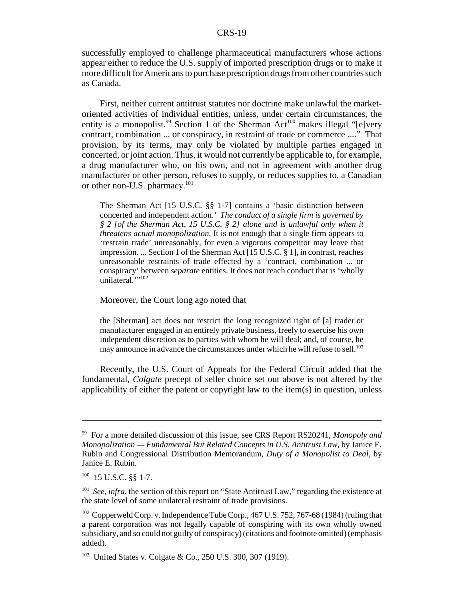successfully employed to challenge pharmaceutical manufacturers whose actions appear either to reduce the U.S. supply of imported prescription drugs or to make it more difficult for Americans to purchase prescription drugs from other countries such as Canada.

First, neither current antitrust statutes nor doctrine make unlawful the marketoriented activities of individual entities, unless, under certain circumstances, the entity is a monopolist.<sup>99</sup> Section 1 of the Sherman Act<sup>100</sup> makes illegal "[e]very contract, combination ... or conspiracy, in restraint of trade or commerce ...." That provision, by its terms, may only be violated by multiple parties engaged in concerted, or joint action. Thus, it would not currently be applicable to, for example, a drug manufacturer who, on his own, and not in agreement with another drug manufacturer or other person, refuses to supply, or reduces supplies to, a Canadian or other non-U.S. pharmacy.<sup>101</sup>

The Sherman Act [15 U.S.C. §§ 1-7] contains a 'basic distinction between concerted and independent action.' *The conduct of a single firm is governed by § 2 [of the Sherman Act, 15 U.S.C. § 2] alone and is unlawful only when it threatens actual monopolization*. It is not enough that a single firm appears to 'restrain trade' unreasonably, for even a vigorous competitor may leave that impression. ... Section 1 of the Sherman Act [15 U.S.C. § 1], in contrast, reaches unreasonable restraints of trade effected by a 'contract, combination ... or conspiracy' between *separate* entities. It does not reach conduct that is 'wholly unilateral."<sup>102</sup>

Moreover, the Court long ago noted that

the [Sherman] act does not restrict the long recognized right of [a] trader or manufacturer engaged in an entirely private business, freely to exercise his own independent discretion as to parties with whom he will deal; and, of course, he may announce in advance the circumstances under which he will refuse to sell.<sup>103</sup>

Recently, the U.S. Court of Appeals for the Federal Circuit added that the fundamental, *Colgate* precept of seller choice set out above is not altered by the applicability of either the patent or copyright law to the item(s) in question, unless

<sup>99</sup> For a more detailed discussion of this issue, see CRS Report RS20241, *Monopoly and Monopolization — Fundamental But Related Concepts in U.S. Antitrust Law*, by Janice E. Rubin and Congressional Distribution Memorandum, *Duty of a Monopolist to Deal*, by Janice E. Rubin.

 $100$  15 U.S.C.  $88$  1-7.

<sup>&</sup>lt;sup>101</sup> *See, infra,* the section of this report on "State Antitrust Law," regarding the existence at the state level of some unilateral restraint of trade provisions.

<sup>&</sup>lt;sup>102</sup> Copperweld Corp. v. Independence Tube Corp., 467 U.S. 752, 767-68 (1984) (ruling that a parent corporation was not legally capable of conspiring with its own wholly owned subsidiary, and so could not guilty of conspiracy) (citations and footnote omitted) (emphasis added).

<sup>&</sup>lt;sup>103</sup> United States v. Colgate & Co., 250 U.S. 300, 307 (1919).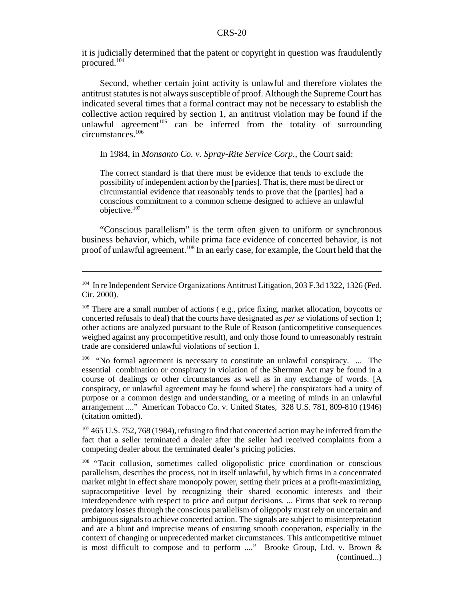it is judicially determined that the patent or copyright in question was fraudulently procured.104

Second, whether certain joint activity is unlawful and therefore violates the antitrust statutes is not always susceptible of proof. Although the Supreme Court has indicated several times that a formal contract may not be necessary to establish the collective action required by section 1, an antitrust violation may be found if the unlawful agreement<sup>105</sup> can be inferred from the totality of surrounding circumstances.106

#### In 1984, in *Monsanto Co. v. Spray-Rite Service Corp.*, the Court said:

The correct standard is that there must be evidence that tends to exclude the possibility of independent action by the [parties]. That is, there must be direct or circumstantial evidence that reasonably tends to prove that the [parties] had a conscious commitment to a common scheme designed to achieve an unlawful objective.107

"Conscious parallelism" is the term often given to uniform or synchronous business behavior, which, while prima face evidence of concerted behavior, is not proof of unlawful agreement.108 In an early case, for example, the Court held that the

<sup>&</sup>lt;sup>104</sup> In re Independent Service Organizations Antitrust Litigation, 203 F.3d 1322, 1326 (Fed. Cir. 2000).

<sup>&</sup>lt;sup>105</sup> There are a small number of actions (e.g., price fixing, market allocation, boycotts or concerted refusals to deal) that the courts have designated as *per se* violations of section 1; other actions are analyzed pursuant to the Rule of Reason (anticompetitive consequences weighed against any procompetitive result), and only those found to unreasonably restrain trade are considered unlawful violations of section 1.

<sup>&</sup>lt;sup>106</sup> "No formal agreement is necessary to constitute an unlawful conspiracy. ... The essential combination or conspiracy in violation of the Sherman Act may be found in a course of dealings or other circumstances as well as in any exchange of words. [A conspiracy, or unlawful agreement may be found where] the conspirators had a unity of purpose or a common design and understanding, or a meeting of minds in an unlawful arrangement ...." American Tobacco Co. v. United States, 328 U.S. 781, 809-810 (1946) (citation omitted).

<sup>&</sup>lt;sup>107</sup> 465 U.S. 752, 768 (1984), refusing to find that concerted action may be inferred from the fact that a seller terminated a dealer after the seller had received complaints from a competing dealer about the terminated dealer's pricing policies.

<sup>&</sup>lt;sup>108</sup> "Tacit collusion, sometimes called oligopolistic price coordination or conscious parallelism, describes the process, not in itself unlawful, by which firms in a concentrated market might in effect share monopoly power, setting their prices at a profit-maximizing, supracompetitive level by recognizing their shared economic interests and their interdependence with respect to price and output decisions. ... Firms that seek to recoup predatory losses through the conscious parallelism of oligopoly must rely on uncertain and ambiguous signals to achieve concerted action. The signals are subject to misinterpretation and are a blunt and imprecise means of ensuring smooth cooperation, especially in the context of changing or unprecedented market circumstances. This anticompetitive minuet is most difficult to compose and to perform ...." Brooke Group, Ltd. v. Brown & (continued...)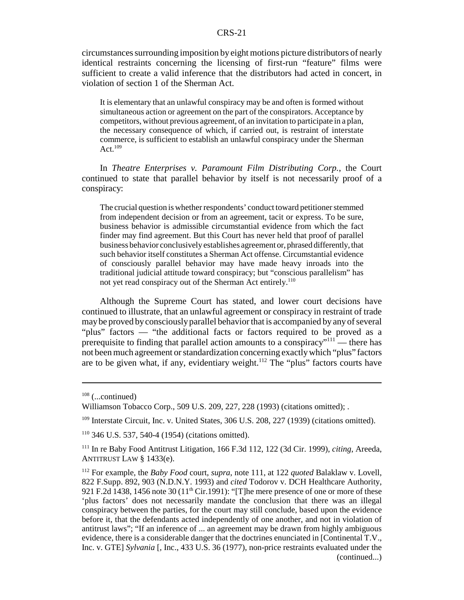circumstances surrounding imposition by eight motions picture distributors of nearly identical restraints concerning the licensing of first-run "feature" films were sufficient to create a valid inference that the distributors had acted in concert, in violation of section 1 of the Sherman Act.

It is elementary that an unlawful conspiracy may be and often is formed without simultaneous action or agreement on the part of the conspirators. Acceptance by competitors, without previous agreement, of an invitation to participate in a plan, the necessary consequence of which, if carried out, is restraint of interstate commerce, is sufficient to establish an unlawful conspiracy under the Sherman Act. $109$ 

In *Theatre Enterprises v. Paramount Film Distributing Corp.*, the Court continued to state that parallel behavior by itself is not necessarily proof of a conspiracy:

The crucial question is whether respondents' conduct toward petitioner stemmed from independent decision or from an agreement, tacit or express. To be sure, business behavior is admissible circumstantial evidence from which the fact finder may find agreement. But this Court has never held that proof of parallel business behavior conclusively establishes agreement or, phrased differently, that such behavior itself constitutes a Sherman Act offense. Circumstantial evidence of consciously parallel behavior may have made heavy inroads into the traditional judicial attitude toward conspiracy; but "conscious parallelism" has not yet read conspiracy out of the Sherman Act entirely.<sup>110</sup>

Although the Supreme Court has stated, and lower court decisions have continued to illustrate, that an unlawful agreement or conspiracy in restraint of trade may be proved by consciously parallel behavior that is accompanied by any of several "plus" factors — "the additional facts or factors required to be proved as a prerequisite to finding that parallel action amounts to a conspiracy"<sup>111</sup> — there has not been much agreement or standardization concerning exactly which "plus" factors are to be given what, if any, evidentiary weight.<sup>112</sup> The "plus" factors courts have

 $108$  (...continued)

Williamson Tobacco Corp., 509 U.S. 209, 227, 228 (1993) (citations omitted); .

<sup>&</sup>lt;sup>109</sup> Interstate Circuit, Inc. v. United States, 306 U.S. 208, 227 (1939) (citations omitted).

<sup>110 346</sup> U.S. 537, 540-4 (1954) (citations omitted).

<sup>111</sup> In re Baby Food Antitrust Litigation, 166 F.3d 112, 122 (3d Cir. 1999), *citing*, Areeda, ANTITRUST LAW § 1433(e).

<sup>112</sup> For example, the *Baby Food* court, *supra*, note 111, at 122 *quoted* Balaklaw v. Lovell, 822 F.Supp. 892, 903 (N.D.N.Y. 1993) and *cited* Todorov v. DCH Healthcare Authority, 921 F.2d 1438, 1456 note 30 (11<sup>th</sup> Cir.1991): "[T]he mere presence of one or more of these 'plus factors' does not necessarily mandate the conclusion that there was an illegal conspiracy between the parties, for the court may still conclude, based upon the evidence before it, that the defendants acted independently of one another, and not in violation of antitrust laws"; "If an inference of ... an agreement may be drawn from highly ambiguous evidence, there is a considerable danger that the doctrines enunciated in [Continental T.V., Inc. v. GTE] *Sylvania* [, Inc., 433 U.S. 36 (1977), non-price restraints evaluated under the (continued...)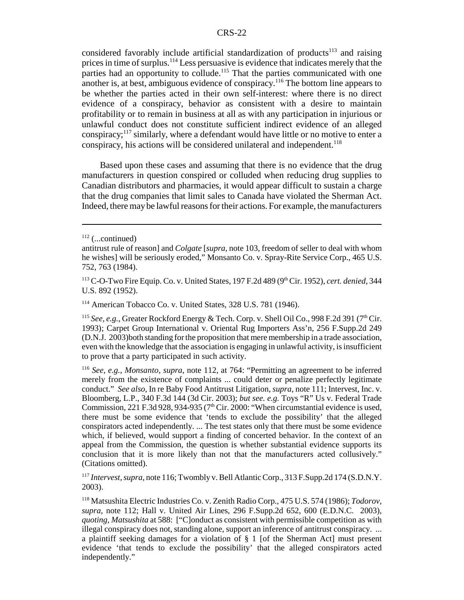considered favorably include artificial standardization of products<sup>113</sup> and raising prices in time of surplus.114 Less persuasive is evidence that indicates merely that the parties had an opportunity to collude.<sup>115</sup> That the parties communicated with one another is, at best, ambiguous evidence of conspiracy.116 The bottom line appears to be whether the parties acted in their own self-interest: where there is no direct evidence of a conspiracy, behavior as consistent with a desire to maintain profitability or to remain in business at all as with any participation in injurious or unlawful conduct does not constitute sufficient indirect evidence of an alleged conspiracy;117 similarly, where a defendant would have little or no motive to enter a conspiracy, his actions will be considered unilateral and independent.<sup>118</sup>

Based upon these cases and assuming that there is no evidence that the drug manufacturers in question conspired or colluded when reducing drug supplies to Canadian distributors and pharmacies, it would appear difficult to sustain a charge that the drug companies that limit sales to Canada have violated the Sherman Act. Indeed, there may be lawful reasons for their actions. For example, the manufacturers

114 American Tobacco Co. v. United States, 328 U.S. 781 (1946).

<sup>117</sup> *Intervest, supra*, note 116; Twombly v. Bell Atlantic Corp., 313 F.Supp.2d 174 (S.D.N.Y. 2003).

118 Matsushita Electric Industries Co. v. Zenith Radio Corp., 475 U.S. 574 (1986); *Todorov, supra,* note 112; Hall v. United Air Lines, 296 F.Supp.2d 652, 600 (E.D.N.C. 2003), *quoting, Matsushita* at 588: ["C]onduct as consistent with permissible competition as with illegal conspiracy does not, standing alone, support an inference of antitrust conspiracy. ... a plaintiff seeking damages for a violation of § 1 [of the Sherman Act] must present evidence 'that tends to exclude the possibility' that the alleged conspirators acted independently."

 $112$  (...continued)

antitrust rule of reason] and *Colgate* [*supra*, note 103, freedom of seller to deal with whom he wishes] will be seriously eroded," Monsanto Co. v. Spray-Rite Service Corp., 465 U.S. 752, 763 (1984).

<sup>113</sup> C-O-Two Fire Equip. Co. v. United States, 197 F.2d 489 (9th Cir. 1952), *cert. denied*, 344 U.S. 892 (1952).

<sup>&</sup>lt;sup>115</sup> See, e.g., Greater Rockford Energy & Tech. Corp. v. Shell Oil Co., 998 F.2d 391 (7<sup>th</sup> Cir. 1993); Carpet Group International v. Oriental Rug Importers Ass'n, 256 F.Supp.2d 249 (D.N.J. 2003)both standing for the proposition that mere membership in a trade association, even with the knowledge that the association is engaging in unlawful activity, is insufficient to prove that a party participated in such activity.

<sup>116</sup> *See, e.g.*, *Monsanto, supra*, note 112, at 764: "Permitting an agreement to be inferred merely from the existence of complaints ... could deter or penalize perfectly legitimate conduct." *See also,* In re Baby Food Antitrust Litigation, *supra,* note 111; Intervest, Inc. v. Bloomberg, L.P., 340 F.3d 144 (3d Cir. 2003); *but see. e.g.* Toys "R" Us v. Federal Trade Commission, 221 F.3d 928, 934-935 ( $7<sup>th</sup>$  Cir. 2000: "When circumstantial evidence is used, there must be some evidence that 'tends to exclude the possibility' that the alleged conspirators acted independently. ... The test states only that there must be some evidence which, if believed, would support a finding of concerted behavior. In the context of an appeal from the Commission, the question is whether substantial evidence supports its conclusion that it is more likely than not that the manufacturers acted collusively." (Citations omitted).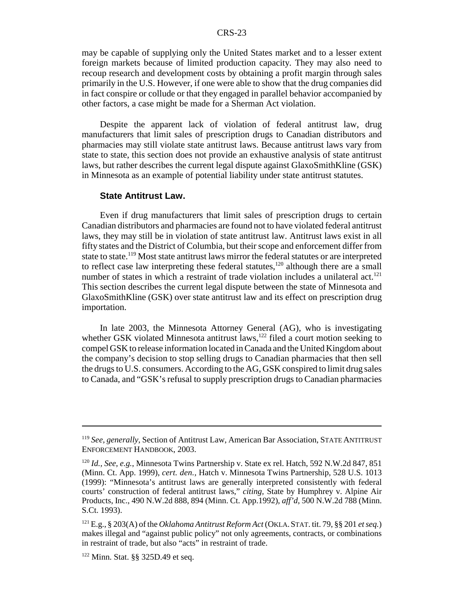may be capable of supplying only the United States market and to a lesser extent foreign markets because of limited production capacity. They may also need to recoup research and development costs by obtaining a profit margin through sales primarily in the U.S. However, if one were able to show that the drug companies did in fact conspire or collude or that they engaged in parallel behavior accompanied by other factors, a case might be made for a Sherman Act violation.

Despite the apparent lack of violation of federal antitrust law, drug manufacturers that limit sales of prescription drugs to Canadian distributors and pharmacies may still violate state antitrust laws. Because antitrust laws vary from state to state, this section does not provide an exhaustive analysis of state antitrust laws, but rather describes the current legal dispute against GlaxoSmithKline (GSK) in Minnesota as an example of potential liability under state antitrust statutes.

#### **State Antitrust Law.**

Even if drug manufacturers that limit sales of prescription drugs to certain Canadian distributors and pharmacies are found not to have violated federal antitrust laws, they may still be in violation of state antitrust law. Antitrust laws exist in all fifty states and the District of Columbia, but their scope and enforcement differ from state to state.<sup>119</sup> Most state antitrust laws mirror the federal statutes or are interpreted to reflect case law interpreting these federal statutes,<sup>120</sup> although there are a small number of states in which a restraint of trade violation includes a unilateral act.<sup>121</sup> This section describes the current legal dispute between the state of Minnesota and GlaxoSmithKline (GSK) over state antitrust law and its effect on prescription drug importation.

In late 2003, the Minnesota Attorney General (AG), who is investigating whether GSK violated Minnesota antitrust laws,<sup>122</sup> filed a court motion seeking to compel GSK to release information located in Canada and the United Kingdom about the company's decision to stop selling drugs to Canadian pharmacies that then sell the drugs to U.S. consumers. According to the AG, GSK conspired to limit drug sales to Canada, and "GSK's refusal to supply prescription drugs to Canadian pharmacies

<sup>119</sup> *See, generally*, Section of Antitrust Law, American Bar Association, STATE ANTITRUST ENFORCEMENT HANDBOOK, 2003.

<sup>120</sup> *Id., See, e.g.*, Minnesota Twins Partnership v. State ex rel. Hatch, 592 N.W.2d 847, 851 (Minn. Ct. App. 1999), *cert. den.,* Hatch v. Minnesota Twins Partnership*,* 528 U.S. 1013 (1999): "Minnesota's antitrust laws are generally interpreted consistently with federal courts' construction of federal antitrust laws," *citing,* State by Humphrey v. Alpine Air Products, Inc., 490 N.W.2d 888, 894 (Minn. Ct. App.1992), *aff'd*, 500 N.W.2d 788 (Minn. S.Ct. 1993).

<sup>121</sup> E.g., § 203(A) of the *Oklahoma Antitrust Reform Act* (OKLA.STAT. tit. 79, §§ 201 *et seq.*) makes illegal and "against public policy" not only agreements, contracts, or combinations in restraint of trade, but also "acts" in restraint of trade.

<sup>122</sup> Minn. Stat. §§ 325D.49 et seq.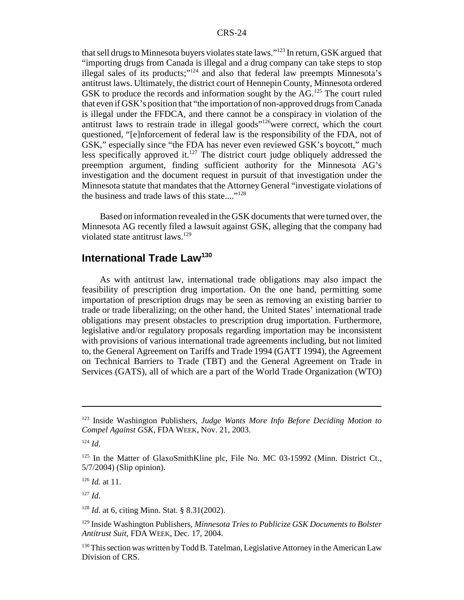that sell drugs to Minnesota buyers violates state laws."123 In return, GSK argued that "importing drugs from Canada is illegal and a drug company can take steps to stop illegal sales of its products;" $124$  and also that federal law preempts Minnesota's antitrust laws. Ultimately, the district court of Hennepin County, Minnesota ordered GSK to produce the records and information sought by the  $AG<sup>125</sup>$  The court ruled that even if GSK's position that "the importation of non-approved drugs from Canada is illegal under the FFDCA, and there cannot be a conspiracy in violation of the antitrust laws to restrain trade in illegal goods"126were correct, which the court questioned, "[e]nforcement of federal law is the responsibility of the FDA, not of GSK," especially since "the FDA has never even reviewed GSK's boycott," much less specifically approved it.<sup>127</sup> The district court judge obliquely addressed the preemption argument, finding sufficient authority for the Minnesota AG's investigation and the document request in pursuit of that investigation under the Minnesota statute that mandates that the Attorney General "investigate violations of the business and trade laws of this state...."128

Based on information revealed in the GSK documents that were turned over, the Minnesota AG recently filed a lawsuit against GSK, alleging that the company had violated state antitrust laws.<sup>129</sup>

## **International Trade Law<sup>130</sup>**

As with antitrust law, international trade obligations may also impact the feasibility of prescription drug importation. On the one hand, permitting some importation of prescription drugs may be seen as removing an existing barrier to trade or trade liberalizing; on the other hand, the United States' international trade obligations may present obstacles to prescription drug importation. Furthermore, legislative and/or regulatory proposals regarding importation may be inconsistent with provisions of various international trade agreements including, but not limited to, the General Agreement on Tariffs and Trade 1994 (GATT 1994), the Agreement on Technical Barriers to Trade (TBT) and the General Agreement on Trade in Services (GATS), all of which are a part of the World Trade Organization (WTO)

<sup>123</sup> Inside Washington Publishers, *Judge Wants More Info Before Deciding Motion to Compel Against GSK*, FDA WEEK, Nov. 21, 2003.

<sup>124</sup> *Id.*

 $125$  In the Matter of GlaxoSmithKline plc, File No. MC 03-15992 (Minn. District Ct., 5/7/2004) (Slip opinion).

<sup>126</sup> *Id.* at 11.

<sup>127</sup> *Id.*

<sup>128</sup> *Id.* at 6, citing Minn. Stat. § 8.31(2002).

<sup>129</sup> Inside Washington Publishers, *Minnesota Tries to Publicize GSK Documents to Bolster Antitrust Suit*, FDA WEEK, Dec. 17, 2004.

<sup>&</sup>lt;sup>130</sup> This section was written by Todd B. Tatelman, Legislative Attorney in the American Law Division of CRS.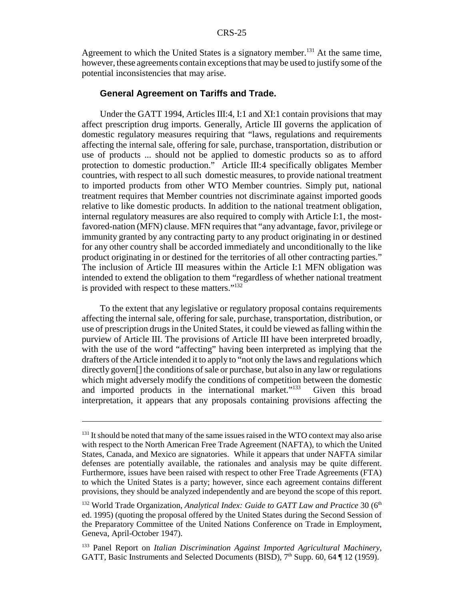Agreement to which the United States is a signatory member.<sup>131</sup> At the same time, however, these agreements contain exceptions that may be used to justify some of the potential inconsistencies that may arise.

#### **General Agreement on Tariffs and Trade.**

Under the GATT 1994, Articles III:4, I:1 and XI:1 contain provisions that may affect prescription drug imports. Generally, Article III governs the application of domestic regulatory measures requiring that "laws, regulations and requirements affecting the internal sale, offering for sale, purchase, transportation, distribution or use of products ... should not be applied to domestic products so as to afford protection to domestic production." Article III:4 specifically obligates Member countries, with respect to all such domestic measures, to provide national treatment to imported products from other WTO Member countries. Simply put, national treatment requires that Member countries not discriminate against imported goods relative to like domestic products. In addition to the national treatment obligation, internal regulatory measures are also required to comply with Article I:1, the mostfavored-nation (MFN) clause. MFN requires that "any advantage, favor, privilege or immunity granted by any contracting party to any product originating in or destined for any other country shall be accorded immediately and unconditionally to the like product originating in or destined for the territories of all other contracting parties." The inclusion of Article III measures within the Article I:1 MFN obligation was intended to extend the obligation to them "regardless of whether national treatment is provided with respect to these matters."132

To the extent that any legislative or regulatory proposal contains requirements affecting the internal sale, offering for sale, purchase, transportation, distribution, or use of prescription drugs in the United States, it could be viewed as falling within the purview of Article III. The provisions of Article III have been interpreted broadly, with the use of the word "affecting" having been interpreted as implying that the drafters of the Article intended it to apply to "not only the laws and regulations which directly govern[] the conditions of sale or purchase, but also in any law or regulations which might adversely modify the conditions of competition between the domestic and imported products in the international market."<sup>133</sup> Given this broad interpretation, it appears that any proposals containing provisions affecting the

 $131$  It should be noted that many of the same issues raised in the WTO context may also arise with respect to the North American Free Trade Agreement (NAFTA), to which the United States, Canada, and Mexico are signatories. While it appears that under NAFTA similar defenses are potentially available, the rationales and analysis may be quite different. Furthermore, issues have been raised with respect to other Free Trade Agreements (FTA) to which the United States is a party; however, since each agreement contains different provisions, they should be analyzed independently and are beyond the scope of this report.

<sup>&</sup>lt;sup>132</sup> World Trade Organization, *Analytical Index: Guide to GATT Law and Practice* 30 (6<sup>th</sup> ed. 1995) (quoting the proposal offered by the United States during the Second Session of the Preparatory Committee of the United Nations Conference on Trade in Employment, Geneva, April-October 1947).

<sup>133</sup> Panel Report on *Italian Discrimination Against Imported Agricultural Machinery*, GATT, Basic Instruments and Selected Documents (BISD),  $7<sup>th</sup>$  Supp. 60, 64  $\P$  12 (1959).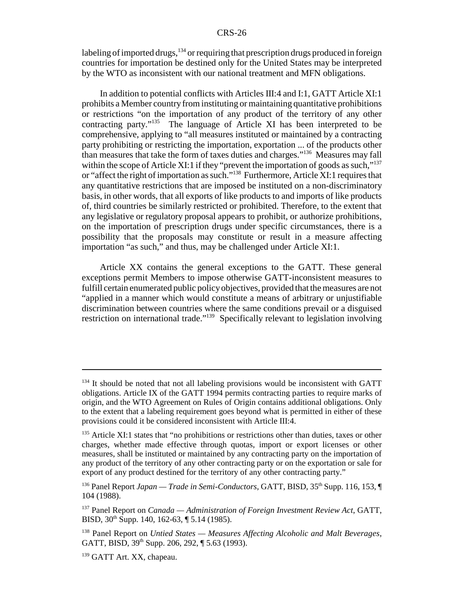labeling of imported drugs,  $134$  or requiring that prescription drugs produced in foreign countries for importation be destined only for the United States may be interpreted by the WTO as inconsistent with our national treatment and MFN obligations.

In addition to potential conflicts with Articles III:4 and I:1, GATT Article XI:1 prohibits a Member country from instituting or maintaining quantitative prohibitions or restrictions "on the importation of any product of the territory of any other contracting party."135 The language of Article XI has been interpreted to be comprehensive, applying to "all measures instituted or maintained by a contracting party prohibiting or restricting the importation, exportation ... of the products other than measures that take the form of taxes duties and charges."136 Measures may fall within the scope of Article XI:1 if they "prevent the importation of goods as such," $137$ or "affect the right of importation as such."138 Furthermore, Article XI:1 requires that any quantitative restrictions that are imposed be instituted on a non-discriminatory basis, in other words, that all exports of like products to and imports of like products of, third countries be similarly restricted or prohibited. Therefore, to the extent that any legislative or regulatory proposal appears to prohibit, or authorize prohibitions, on the importation of prescription drugs under specific circumstances, there is a possibility that the proposals may constitute or result in a measure affecting importation "as such," and thus, may be challenged under Article XI:1.

Article XX contains the general exceptions to the GATT. These general exceptions permit Members to impose otherwise GATT-inconsistent measures to fulfill certain enumerated public policy objectives, provided that the measures are not "applied in a manner which would constitute a means of arbitrary or unjustifiable discrimination between countries where the same conditions prevail or a disguised restriction on international trade."139 Specifically relevant to legislation involving

 $134$  It should be noted that not all labeling provisions would be inconsistent with GATT obligations. Article IX of the GATT 1994 permits contracting parties to require marks of origin, and the WTO Agreement on Rules of Origin contains additional obligations. Only to the extent that a labeling requirement goes beyond what is permitted in either of these provisions could it be considered inconsistent with Article III:4.

<sup>&</sup>lt;sup>135</sup> Article XI:1 states that "no prohibitions or restrictions other than duties, taxes or other charges, whether made effective through quotas, import or export licenses or other measures, shall be instituted or maintained by any contracting party on the importation of any product of the territory of any other contracting party or on the exportation or sale for export of any product destined for the territory of any other contracting party."

<sup>&</sup>lt;sup>136</sup> Panel Report *Japan — Trade in Semi-Conductors*, GATT, BISD, 35<sup>th</sup> Supp. 116, 153, ¶ 104 (1988).

<sup>137</sup> Panel Report on *Canada — Administration of Foreign Investment Review Act*, GATT, BISD, 30<sup>th</sup> Supp. 140, 162-63, ¶ 5.14 (1985).

<sup>138</sup> Panel Report on *Untied States — Measures Affecting Alcoholic and Malt Beverages*, GATT, BISD,  $39<sup>th</sup>$  Supp. 206, 292,  $\P$  5.63 (1993).

<sup>&</sup>lt;sup>139</sup> GATT Art. XX, chapeau.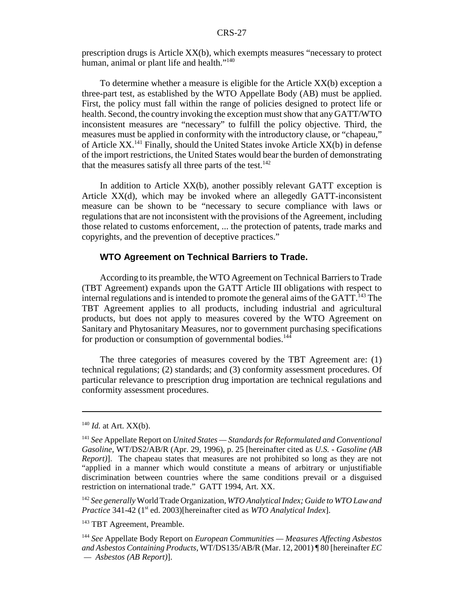prescription drugs is Article XX(b), which exempts measures "necessary to protect human, animal or plant life and health."<sup>140</sup>

To determine whether a measure is eligible for the Article XX(b) exception a three-part test, as established by the WTO Appellate Body (AB) must be applied. First, the policy must fall within the range of policies designed to protect life or health. Second, the country invoking the exception must show that any GATT/WTO inconsistent measures are "necessary" to fulfill the policy objective. Third, the measures must be applied in conformity with the introductory clause, or "chapeau," of Article  $XX$ <sup>141</sup> Finally, should the United States invoke Article  $XX(b)$  in defense of the import restrictions, the United States would bear the burden of demonstrating that the measures satisfy all three parts of the test.<sup>142</sup>

In addition to Article XX(b), another possibly relevant GATT exception is Article XX(d), which may be invoked where an allegedly GATT-inconsistent measure can be shown to be "necessary to secure compliance with laws or regulations that are not inconsistent with the provisions of the Agreement, including those related to customs enforcement, ... the protection of patents, trade marks and copyrights, and the prevention of deceptive practices."

#### **WTO Agreement on Technical Barriers to Trade.**

According to its preamble, the WTO Agreement on Technical Barriers to Trade (TBT Agreement) expands upon the GATT Article III obligations with respect to internal regulations and is intended to promote the general aims of the  $GATT$ <sup>143</sup>. TBT Agreement applies to all products, including industrial and agricultural products, but does not apply to measures covered by the WTO Agreement on Sanitary and Phytosanitary Measures, nor to government purchasing specifications for production or consumption of governmental bodies.<sup>144</sup>

The three categories of measures covered by the TBT Agreement are: (1) technical regulations; (2) standards; and (3) conformity assessment procedures. Of particular relevance to prescription drug importation are technical regulations and conformity assessment procedures.

 $140$  *Id.* at Art. XX(b).

<sup>141</sup> *See* Appellate Report on *United States — Standards for Reformulated and Conventional Gasoline*, WT/DS2/AB/R (Apr. 29, 1996), p. 25 [hereinafter cited as *U.S. - Gasoline (AB Report*)]. The chapeau states that measures are not prohibited so long as they are not "applied in a manner which would constitute a means of arbitrary or unjustifiable discrimination between countries where the same conditions prevail or a disguised restriction on international trade." GATT 1994, Art. XX.

<sup>142</sup> *See generally* World Trade Organization, *WTO Analytical Index; Guide to WTO Law and Practice* 341-42 (1<sup>st</sup> ed. 2003)[hereinafter cited as *WTO Analytical Index*].

<sup>&</sup>lt;sup>143</sup> TBT Agreement, Preamble.

<sup>144</sup> *See* Appellate Body Report on *European Communities — Measures Affecting Asbestos and Asbestos Containing Products*, WT/DS135/AB/R (Mar. 12, 2001) ¶ 80 [hereinafter *EC — Asbestos (AB Report)*].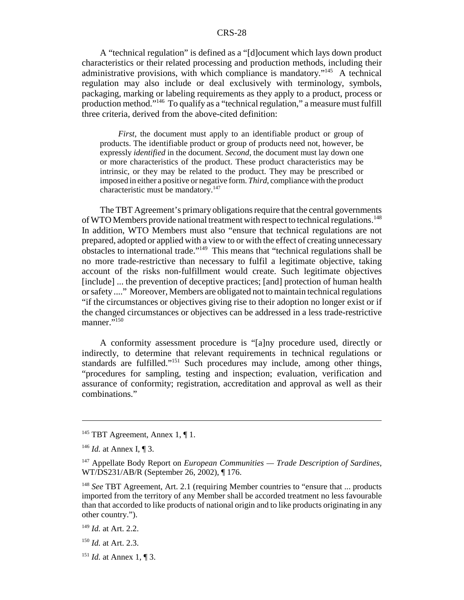A "technical regulation" is defined as a "[d]ocument which lays down product characteristics or their related processing and production methods, including their administrative provisions, with which compliance is mandatory."145 A technical regulation may also include or deal exclusively with terminology, symbols, packaging, marking or labeling requirements as they apply to a product, process or production method."146 To qualify as a "technical regulation," a measure must fulfill three criteria, derived from the above-cited definition:

*First*, the document must apply to an identifiable product or group of products. The identifiable product or group of products need not, however, be expressly *identified* in the document. *Second*, the document must lay down one or more characteristics of the product. These product characteristics may be intrinsic, or they may be related to the product. They may be prescribed or imposed in either a positive or negative form. *Third*, compliance with the product characteristic must be mandatory.<sup>147</sup>

The TBT Agreement's primary obligations require that the central governments of WTO Members provide national treatment with respect to technical regulations.<sup>148</sup> In addition, WTO Members must also "ensure that technical regulations are not prepared, adopted or applied with a view to or with the effect of creating unnecessary obstacles to international trade."149 This means that "technical regulations shall be no more trade-restrictive than necessary to fulfil a legitimate objective, taking account of the risks non-fulfillment would create. Such legitimate objectives [include] ... the prevention of deceptive practices; [and] protection of human health or safety ...." Moreover, Members are obligated not to maintain technical regulations "if the circumstances or objectives giving rise to their adoption no longer exist or if the changed circumstances or objectives can be addressed in a less trade-restrictive manner."<sup>150</sup>

A conformity assessment procedure is "[a]ny procedure used, directly or indirectly, to determine that relevant requirements in technical regulations or standards are fulfilled."151 Such procedures may include, among other things, "procedures for sampling, testing and inspection; evaluation, verification and assurance of conformity; registration, accreditation and approval as well as their combinations."

<sup>&</sup>lt;sup>145</sup> TBT Agreement, Annex 1,  $\P$  1.

<sup>146</sup> *Id.* at Annex I, ¶ 3.

<sup>147</sup> Appellate Body Report on *European Communities — Trade Description of Sardines*, WT/DS231/AB/R (September 26, 2002), ¶ 176.

<sup>&</sup>lt;sup>148</sup> *See* TBT Agreement, Art. 2.1 (requiring Member countries to "ensure that ... products imported from the territory of any Member shall be accorded treatment no less favourable than that accorded to like products of national origin and to like products originating in any other country.").

<sup>149</sup> *Id.* at Art. 2.2.

<sup>150</sup> *Id.* at Art. 2.3.

<sup>151</sup> *Id.* at Annex 1, ¶ 3.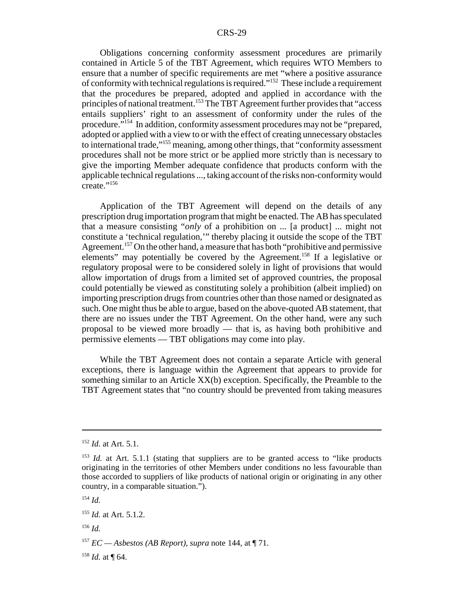Obligations concerning conformity assessment procedures are primarily contained in Article 5 of the TBT Agreement, which requires WTO Members to ensure that a number of specific requirements are met "where a positive assurance of conformity with technical regulations is required."152 These include a requirement that the procedures be prepared, adopted and applied in accordance with the principles of national treatment.153 The TBT Agreement further provides that "access entails suppliers' right to an assessment of conformity under the rules of the procedure."154 In addition, conformity assessment procedures may not be "prepared, adopted or applied with a view to or with the effect of creating unnecessary obstacles to international trade,"155 meaning, among other things, that "conformity assessment procedures shall not be more strict or be applied more strictly than is necessary to give the importing Member adequate confidence that products conform with the applicable technical regulations ..., taking account of the risks non-conformity would create."156

Application of the TBT Agreement will depend on the details of any prescription drug importation program that might be enacted. The AB has speculated that a measure consisting "*only* of a prohibition on ... [a product] ... might not constitute a 'technical regulation,'" thereby placing it outside the scope of the TBT Agreement.<sup>157</sup> On the other hand, a measure that has both "prohibitive and permissive elements" may potentially be covered by the Agreement.<sup>158</sup> If a legislative or regulatory proposal were to be considered solely in light of provisions that would allow importation of drugs from a limited set of approved countries, the proposal could potentially be viewed as constituting solely a prohibition (albeit implied) on importing prescription drugs from countries other than those named or designated as such. One might thus be able to argue, based on the above-quoted AB statement, that there are no issues under the TBT Agreement. On the other hand, were any such proposal to be viewed more broadly — that is, as having both prohibitive and permissive elements — TBT obligations may come into play.

While the TBT Agreement does not contain a separate Article with general exceptions, there is language within the Agreement that appears to provide for something similar to an Article XX(b) exception. Specifically, the Preamble to the TBT Agreement states that "no country should be prevented from taking measures

<sup>156</sup> *Id.*

 $158$  *Id.* at ¶ 64.

<sup>152</sup> *Id.* at Art. 5.1.

 $153$  *Id.* at Art. 5.1.1 (stating that suppliers are to be granted access to "like products" originating in the territories of other Members under conditions no less favourable than those accorded to suppliers of like products of national origin or originating in any other country, in a comparable situation.").

<sup>154</sup> *Id.*

<sup>155</sup> *Id.* at Art. 5.1.2.

<sup>&</sup>lt;sup>157</sup> *EC* — *Asbestos (AB Report)*, *supra* note 144, at  $\P$  71.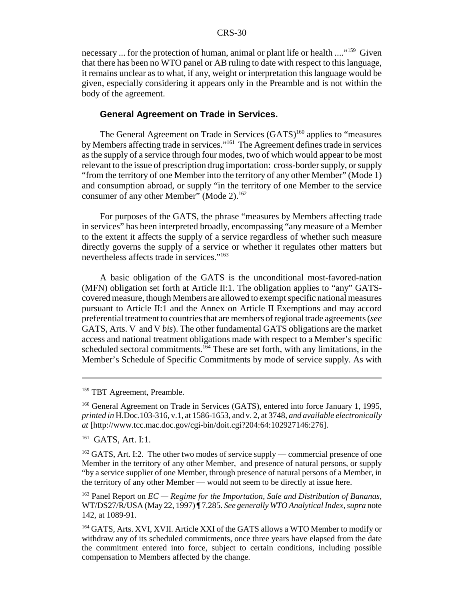necessary ... for the protection of human, animal or plant life or health ...."159 Given that there has been no WTO panel or AB ruling to date with respect to this language, it remains unclear as to what, if any, weight or interpretation this language would be given, especially considering it appears only in the Preamble and is not within the body of the agreement.

#### **General Agreement on Trade in Services.**

The General Agreement on Trade in Services (GATS)<sup>160</sup> applies to "measures" by Members affecting trade in services."<sup>161</sup> The Agreement defines trade in services as the supply of a service through four modes, two of which would appear to be most relevant to the issue of prescription drug importation: cross-border supply, or supply "from the territory of one Member into the territory of any other Member" (Mode 1) and consumption abroad, or supply "in the territory of one Member to the service consumer of any other Member" (Mode 2).<sup>162</sup>

For purposes of the GATS, the phrase "measures by Members affecting trade in services" has been interpreted broadly, encompassing "any measure of a Member to the extent it affects the supply of a service regardless of whether such measure directly governs the supply of a service or whether it regulates other matters but nevertheless affects trade in services."163

A basic obligation of the GATS is the unconditional most-favored-nation (MFN) obligation set forth at Article II:1. The obligation applies to "any" GATScovered measure, though Members are allowed to exempt specific national measures pursuant to Article II:1 and the Annex on Article II Exemptions and may accord preferential treatment to countries that are members of regional trade agreements (*see* GATS, Arts. V and V *bis*). The other fundamental GATS obligations are the market access and national treatment obligations made with respect to a Member's specific scheduled sectoral commitments.<sup>164</sup> These are set forth, with any limitations, in the Member's Schedule of Specific Commitments by mode of service supply. As with

<sup>&</sup>lt;sup>159</sup> TBT Agreement, Preamble.

<sup>&</sup>lt;sup>160</sup> General Agreement on Trade in Services (GATS), entered into force January 1, 1995, *printed in* H.Doc.103-316, v.1, at 1586-1653, and v. 2, at 3748, *and available electronically at* [http://www.tcc.mac.doc.gov/cgi-bin/doit.cgi?204:64:102927146:276].

<sup>&</sup>lt;sup>161</sup> GATS, Art. I:1.

 $162$  GATS, Art. I:2. The other two modes of service supply — commercial presence of one Member in the territory of any other Member, and presence of natural persons, or supply "by a service supplier of one Member, through presence of natural persons of a Member, in the territory of any other Member — would not seem to be directly at issue here.

<sup>163</sup> Panel Report on *EC — Regime for the Importation, Sale and Distribution of Bananas,* WT/DS27/R/USA (May 22, 1997) ¶ 7.285. *See generally WTO Analytical Index, supra* note 142, at 1089-91.

<sup>164</sup> GATS, Arts. XVI, XVII. Article XXI of the GATS allows a WTO Member to modify or withdraw any of its scheduled commitments, once three years have elapsed from the date the commitment entered into force, subject to certain conditions, including possible compensation to Members affected by the change.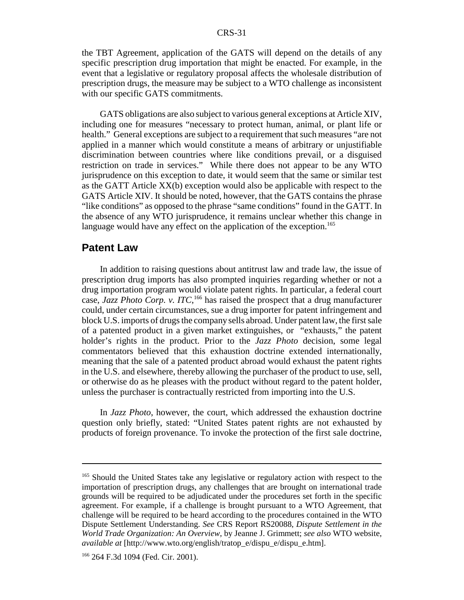the TBT Agreement, application of the GATS will depend on the details of any specific prescription drug importation that might be enacted. For example, in the event that a legislative or regulatory proposal affects the wholesale distribution of prescription drugs, the measure may be subject to a WTO challenge as inconsistent with our specific GATS commitments.

GATS obligations are also subject to various general exceptions at Article XIV, including one for measures "necessary to protect human, animal, or plant life or health." General exceptions are subject to a requirement that such measures "are not applied in a manner which would constitute a means of arbitrary or unjustifiable discrimination between countries where like conditions prevail, or a disguised restriction on trade in services." While there does not appear to be any WTO jurisprudence on this exception to date, it would seem that the same or similar test as the GATT Article XX(b) exception would also be applicable with respect to the GATS Article XIV. It should be noted, however, that the GATS contains the phrase "like conditions" as opposed to the phrase "same conditions" found in the GATT. In the absence of any WTO jurisprudence, it remains unclear whether this change in language would have any effect on the application of the exception.<sup>165</sup>

### **Patent Law**

In addition to raising questions about antitrust law and trade law, the issue of prescription drug imports has also prompted inquiries regarding whether or not a drug importation program would violate patent rights. In particular, a federal court case, *Jazz Photo Corp. v. ITC*,<sup>166</sup> has raised the prospect that a drug manufacturer could, under certain circumstances, sue a drug importer for patent infringement and block U.S. imports of drugs the company sells abroad. Under patent law, the first sale of a patented product in a given market extinguishes, or "exhausts," the patent holder's rights in the product. Prior to the *Jazz Photo* decision, some legal commentators believed that this exhaustion doctrine extended internationally, meaning that the sale of a patented product abroad would exhaust the patent rights in the U.S. and elsewhere, thereby allowing the purchaser of the product to use, sell, or otherwise do as he pleases with the product without regard to the patent holder, unless the purchaser is contractually restricted from importing into the U.S.

In *Jazz Photo*, however, the court, which addressed the exhaustion doctrine question only briefly, stated: "United States patent rights are not exhausted by products of foreign provenance. To invoke the protection of the first sale doctrine,

<sup>&</sup>lt;sup>165</sup> Should the United States take any legislative or regulatory action with respect to the importation of prescription drugs, any challenges that are brought on international trade grounds will be required to be adjudicated under the procedures set forth in the specific agreement. For example, if a challenge is brought pursuant to a WTO Agreement, that challenge will be required to be heard according to the procedures contained in the WTO Dispute Settlement Understanding. *See* CRS Report RS20088, *Dispute Settlement in the World Trade Organization: An Overview*, by Jeanne J. Grimmett; *see also* WTO website, *available at* [http://www.wto.org/english/tratop\_e/dispu\_e/dispu\_e.htm].

<sup>166 264</sup> F.3d 1094 (Fed. Cir. 2001).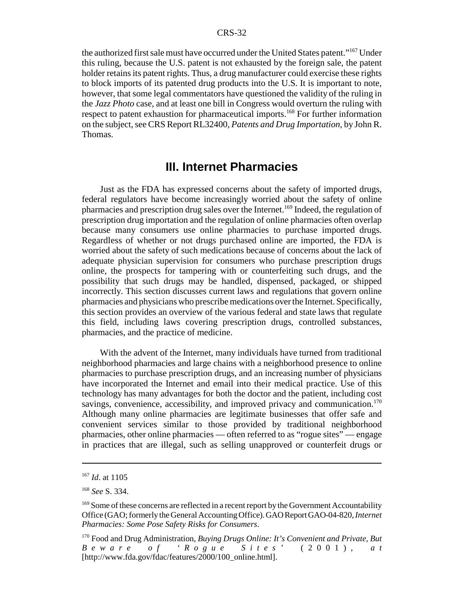the authorized first sale must have occurred under the United States patent."167 Under this ruling, because the U.S. patent is not exhausted by the foreign sale, the patent holder retains its patent rights. Thus, a drug manufacturer could exercise these rights to block imports of its patented drug products into the U.S. It is important to note, however, that some legal commentators have questioned the validity of the ruling in the *Jazz Photo* case, and at least one bill in Congress would overturn the ruling with respect to patent exhaustion for pharmaceutical imports.<sup>168</sup> For further information on the subject, see CRS Report RL32400, *Patents and Drug Importation*, by John R. Thomas.

## **III. Internet Pharmacies**

Just as the FDA has expressed concerns about the safety of imported drugs, federal regulators have become increasingly worried about the safety of online pharmacies and prescription drug sales over the Internet.<sup>169</sup> Indeed, the regulation of prescription drug importation and the regulation of online pharmacies often overlap because many consumers use online pharmacies to purchase imported drugs. Regardless of whether or not drugs purchased online are imported, the FDA is worried about the safety of such medications because of concerns about the lack of adequate physician supervision for consumers who purchase prescription drugs online, the prospects for tampering with or counterfeiting such drugs, and the possibility that such drugs may be handled, dispensed, packaged, or shipped incorrectly. This section discusses current laws and regulations that govern online pharmacies and physicians who prescribe medications over the Internet. Specifically, this section provides an overview of the various federal and state laws that regulate this field, including laws covering prescription drugs, controlled substances, pharmacies, and the practice of medicine.

With the advent of the Internet, many individuals have turned from traditional neighborhood pharmacies and large chains with a neighborhood presence to online pharmacies to purchase prescription drugs, and an increasing number of physicians have incorporated the Internet and email into their medical practice. Use of this technology has many advantages for both the doctor and the patient, including cost savings, convenience, accessibility, and improved privacy and communication.<sup>170</sup> Although many online pharmacies are legitimate businesses that offer safe and convenient services similar to those provided by traditional neighborhood pharmacies, other online pharmacies — often referred to as "rogue sites" — engage in practices that are illegal, such as selling unapproved or counterfeit drugs or

<sup>167</sup> *Id*. at 1105

<sup>168</sup> *See* S. 334.

<sup>&</sup>lt;sup>169</sup> Some of these concerns are reflected in a recent report by the Government Accountability Office (GAO; formerly the General Accounting Office). GAO Report GAO-04-820, *Internet Pharmacies: Some Pose Safety Risks for Consumers*.

<sup>170</sup> Food and Drug Administration, *Buying Drugs Online: It's Convenient and Private, But Beware of 'Rogue Sites'* (2001), *a t* [http://www.fda.gov/fdac/features/2000/100\_online.html].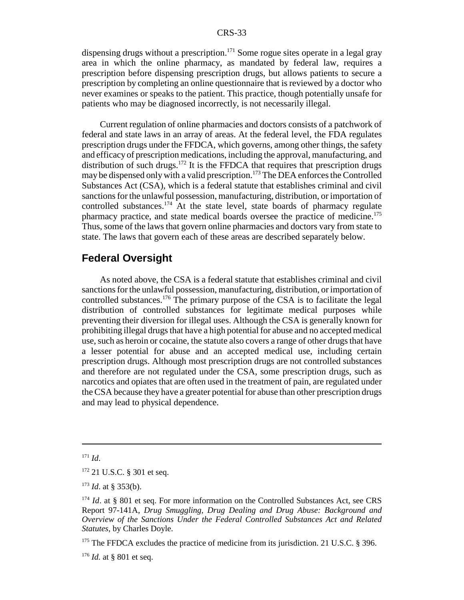dispensing drugs without a prescription.<sup>171</sup> Some rogue sites operate in a legal gray area in which the online pharmacy, as mandated by federal law, requires a prescription before dispensing prescription drugs, but allows patients to secure a prescription by completing an online questionnaire that is reviewed by a doctor who never examines or speaks to the patient. This practice, though potentially unsafe for patients who may be diagnosed incorrectly, is not necessarily illegal.

Current regulation of online pharmacies and doctors consists of a patchwork of federal and state laws in an array of areas. At the federal level, the FDA regulates prescription drugs under the FFDCA, which governs, among other things, the safety and efficacy of prescription medications, including the approval, manufacturing, and distribution of such drugs.<sup>172</sup> It is the FFDCA that requires that prescription drugs may be dispensed only with a valid prescription.<sup>173</sup> The DEA enforces the Controlled Substances Act (CSA), which is a federal statute that establishes criminal and civil sanctions for the unlawful possession, manufacturing, distribution, or importation of controlled substances. $174$  At the state level, state boards of pharmacy regulate pharmacy practice, and state medical boards oversee the practice of medicine.<sup>175</sup> Thus, some of the laws that govern online pharmacies and doctors vary from state to state. The laws that govern each of these areas are described separately below.

## **Federal Oversight**

As noted above, the CSA is a federal statute that establishes criminal and civil sanctions for the unlawful possession, manufacturing, distribution, or importation of controlled substances.176 The primary purpose of the CSA is to facilitate the legal distribution of controlled substances for legitimate medical purposes while preventing their diversion for illegal uses. Although the CSA is generally known for prohibiting illegal drugs that have a high potential for abuse and no accepted medical use, such as heroin or cocaine, the statute also covers a range of other drugs that have a lesser potential for abuse and an accepted medical use, including certain prescription drugs. Although most prescription drugs are not controlled substances and therefore are not regulated under the CSA, some prescription drugs, such as narcotics and opiates that are often used in the treatment of pain, are regulated under the CSA because they have a greater potential for abuse than other prescription drugs and may lead to physical dependence.

<sup>171</sup> *Id*.

<sup>&</sup>lt;sup>172</sup> 21 U.S.C. § 301 et seq.

<sup>173</sup> *Id*. at § 353(b).

<sup>&</sup>lt;sup>174</sup> *Id.* at § 801 et seq. For more information on the Controlled Substances Act, see CRS Report 97-141A, *Drug Smuggling, Drug Dealing and Drug Abuse: Background and Overview of the Sanctions Under the Federal Controlled Substances Act and Related Statutes*, by Charles Doyle.

<sup>&</sup>lt;sup>175</sup> The FFDCA excludes the practice of medicine from its jurisdiction. 21 U.S.C. § 396.

 $176$  *Id.* at § 801 et seq.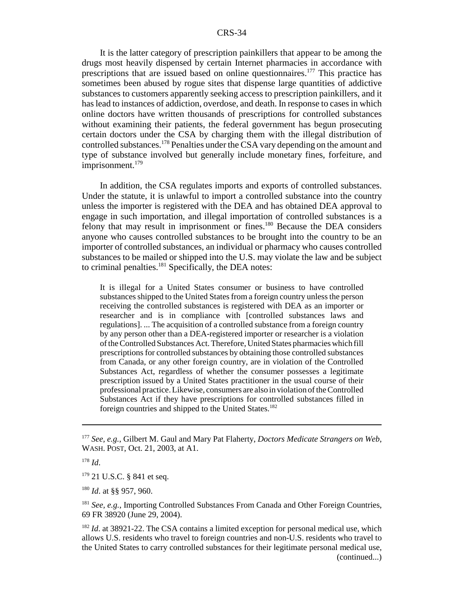It is the latter category of prescription painkillers that appear to be among the drugs most heavily dispensed by certain Internet pharmacies in accordance with prescriptions that are issued based on online questionnaires.177 This practice has sometimes been abused by rogue sites that dispense large quantities of addictive substances to customers apparently seeking access to prescription painkillers, and it has lead to instances of addiction, overdose, and death. In response to cases in which online doctors have written thousands of prescriptions for controlled substances without examining their patients, the federal government has begun prosecuting certain doctors under the CSA by charging them with the illegal distribution of controlled substances.<sup>178</sup> Penalties under the CSA vary depending on the amount and type of substance involved but generally include monetary fines, forfeiture, and imprisonment. $179$ 

In addition, the CSA regulates imports and exports of controlled substances. Under the statute, it is unlawful to import a controlled substance into the country unless the importer is registered with the DEA and has obtained DEA approval to engage in such importation, and illegal importation of controlled substances is a felony that may result in imprisonment or fines.180 Because the DEA considers anyone who causes controlled substances to be brought into the country to be an importer of controlled substances, an individual or pharmacy who causes controlled substances to be mailed or shipped into the U.S. may violate the law and be subject to criminal penalties.<sup>181</sup> Specifically, the DEA notes:

It is illegal for a United States consumer or business to have controlled substances shipped to the United States from a foreign country unless the person receiving the controlled substances is registered with DEA as an importer or researcher and is in compliance with [controlled substances laws and regulations]. ... The acquisition of a controlled substance from a foreign country by any person other than a DEA-registered importer or researcher is a violation of the Controlled Substances Act. Therefore, United States pharmacies which fill prescriptions for controlled substances by obtaining those controlled substances from Canada, or any other foreign country, are in violation of the Controlled Substances Act, regardless of whether the consumer possesses a legitimate prescription issued by a United States practitioner in the usual course of their professional practice. Likewise, consumers are also in violation of the Controlled Substances Act if they have prescriptions for controlled substances filled in foreign countries and shipped to the United States.<sup>182</sup>

<sup>177</sup> *See, e.g.*, Gilbert M. Gaul and Mary Pat Flaherty, *Doctors Medicate Strangers on Web*, WASH. POST, Oct. 21, 2003, at A1.

<sup>178</sup> *Id*.

<sup>&</sup>lt;sup>179</sup> 21 U.S.C. § 841 et seq.

<sup>180</sup> *Id*. at §§ 957, 960.

<sup>181</sup> *See, e.g.*, Importing Controlled Substances From Canada and Other Foreign Countries, 69 FR 38920 (June 29, 2004).

<sup>&</sup>lt;sup>182</sup> *Id.* at 38921-22. The CSA contains a limited exception for personal medical use, which allows U.S. residents who travel to foreign countries and non-U.S. residents who travel to the United States to carry controlled substances for their legitimate personal medical use, (continued...)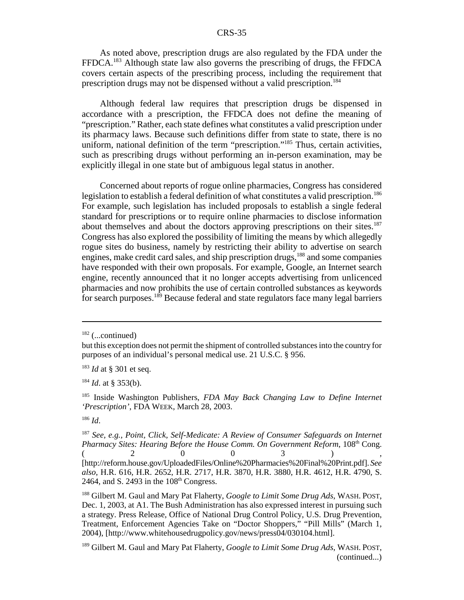As noted above, prescription drugs are also regulated by the FDA under the FFDCA.183 Although state law also governs the prescribing of drugs, the FFDCA covers certain aspects of the prescribing process, including the requirement that prescription drugs may not be dispensed without a valid prescription.<sup>184</sup>

Although federal law requires that prescription drugs be dispensed in accordance with a prescription, the FFDCA does not define the meaning of "prescription." Rather, each state defines what constitutes a valid prescription under its pharmacy laws. Because such definitions differ from state to state, there is no uniform, national definition of the term "prescription."185 Thus, certain activities, such as prescribing drugs without performing an in-person examination, may be explicitly illegal in one state but of ambiguous legal status in another.

Concerned about reports of rogue online pharmacies, Congress has considered legislation to establish a federal definition of what constitutes a valid prescription.<sup>186</sup> For example, such legislation has included proposals to establish a single federal standard for prescriptions or to require online pharmacies to disclose information about themselves and about the doctors approving prescriptions on their sites.<sup>187</sup> Congress has also explored the possibility of limiting the means by which allegedly rogue sites do business, namely by restricting their ability to advertise on search engines, make credit card sales, and ship prescription drugs,<sup>188</sup> and some companies have responded with their own proposals. For example, Google, an Internet search engine, recently announced that it no longer accepts advertising from unlicenced pharmacies and now prohibits the use of certain controlled substances as keywords for search purposes.<sup>189</sup> Because federal and state regulators face many legal barriers

 $182$  (...continued)

but this exception does not permit the shipment of controlled substances into the country for purposes of an individual's personal medical use. 21 U.S.C. § 956.

<sup>183</sup> *Id* at § 301 et seq.

<sup>184</sup> *Id*. at § 353(b).

<sup>185</sup> Inside Washington Publishers, *FDA May Back Changing Law to Define Internet 'Prescription'*, FDA WEEK, March 28, 2003.

<sup>186</sup> *Id*.

<sup>187</sup> *See, e.g., Point, Click, Self-Medicate: A Review of Consumer Safeguards on Internet Pharmacy Sites: Hearing Before the House Comm. On Government Reform, 108*<sup>th</sup> Cong.  $($  2 0 0 3 ), [http://reform.house.gov/UploadedFiles/Online%20Pharmacies%20Final%20Print.pdf]. *See also*, H.R. 616, H.R. 2652, H.R. 2717, H.R. 3870, H.R. 3880, H.R. 4612, H.R. 4790, S. 2464, and S. 2493 in the  $108<sup>th</sup>$  Congress.

<sup>188</sup> Gilbert M. Gaul and Mary Pat Flaherty, *Google to Limit Some Drug Ads*, WASH. POST, Dec. 1, 2003, at A1. The Bush Administration has also expressed interest in pursuing such a strategy. Press Release, Office of National Drug Control Policy, U.S. Drug Prevention, Treatment, Enforcement Agencies Take on "Doctor Shoppers," "Pill Mills" (March 1, 2004), [http://www.whitehousedrugpolicy.gov/news/press04/030104.html].

<sup>189</sup> Gilbert M. Gaul and Mary Pat Flaherty, *Google to Limit Some Drug Ads*, WASH. POST, (continued...)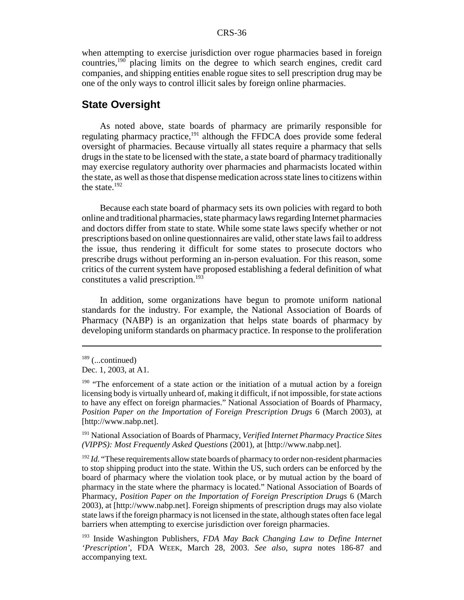when attempting to exercise jurisdiction over rogue pharmacies based in foreign countries,190 placing limits on the degree to which search engines, credit card companies, and shipping entities enable rogue sites to sell prescription drug may be one of the only ways to control illicit sales by foreign online pharmacies.

## **State Oversight**

As noted above, state boards of pharmacy are primarily responsible for regulating pharmacy practice,<sup>191</sup> although the FFDCA does provide some federal oversight of pharmacies. Because virtually all states require a pharmacy that sells drugs in the state to be licensed with the state, a state board of pharmacy traditionally may exercise regulatory authority over pharmacies and pharmacists located within the state, as well as those that dispense medication across state lines to citizens within the state. $192$ 

Because each state board of pharmacy sets its own policies with regard to both online and traditional pharmacies, state pharmacy laws regarding Internet pharmacies and doctors differ from state to state. While some state laws specify whether or not prescriptions based on online questionnaires are valid, other state laws fail to address the issue, thus rendering it difficult for some states to prosecute doctors who prescribe drugs without performing an in-person evaluation. For this reason, some critics of the current system have proposed establishing a federal definition of what constitutes a valid prescription.<sup>193</sup>

In addition, some organizations have begun to promote uniform national standards for the industry. For example, the National Association of Boards of Pharmacy (NABP) is an organization that helps state boards of pharmacy by developing uniform standards on pharmacy practice. In response to the proliferation

 $189$  (...continued)

Dec. 1, 2003, at A1.

 $190$  "The enforcement of a state action or the initiation of a mutual action by a foreign licensing body is virtually unheard of, making it difficult, if not impossible, for state actions to have any effect on foreign pharmacies." National Association of Boards of Pharmacy, *Position Paper on the Importation of Foreign Prescription Drugs* 6 (March 2003), at [http://www.nabp.net].

<sup>191</sup> National Association of Boards of Pharmacy, *Verified Internet Pharmacy Practice Sites (VIPPS): Most Frequently Asked Questions* (2001), at [http://www.nabp.net].

<sup>&</sup>lt;sup>192</sup> *Id.* "These requirements allow state boards of pharmacy to order non-resident pharmacies to stop shipping product into the state. Within the US, such orders can be enforced by the board of pharmacy where the violation took place, or by mutual action by the board of pharmacy in the state where the pharmacy is located." National Association of Boards of Pharmacy, *Position Paper on the Importation of Foreign Prescription Drugs* 6 (March 2003), at [http://www.nabp.net]. Foreign shipments of prescription drugs may also violate state laws if the foreign pharmacy is not licensed in the state, although states often face legal barriers when attempting to exercise jurisdiction over foreign pharmacies.

<sup>193</sup> Inside Washington Publishers, *FDA May Back Changing Law to Define Internet 'Prescription'*, FDA WEEK, March 28, 2003. *See also*, *supra* notes 186-87 and accompanying text.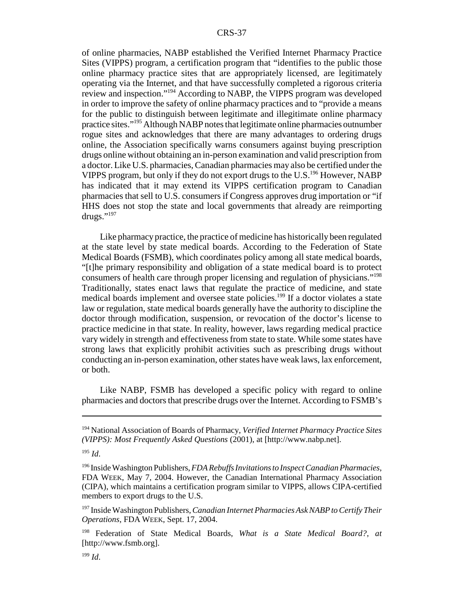of online pharmacies, NABP established the Verified Internet Pharmacy Practice Sites (VIPPS) program, a certification program that "identifies to the public those online pharmacy practice sites that are appropriately licensed, are legitimately operating via the Internet, and that have successfully completed a rigorous criteria review and inspection."194 According to NABP, the VIPPS program was developed in order to improve the safety of online pharmacy practices and to "provide a means for the public to distinguish between legitimate and illegitimate online pharmacy practice sites."195 Although NABP notes that legitimate online pharmacies outnumber rogue sites and acknowledges that there are many advantages to ordering drugs online, the Association specifically warns consumers against buying prescription drugs online without obtaining an in-person examination and valid prescription from a doctor. Like U.S. pharmacies, Canadian pharmacies may also be certified under the VIPPS program, but only if they do not export drugs to the  $U.S.<sup>196</sup>$  However, NABP has indicated that it may extend its VIPPS certification program to Canadian pharmacies that sell to U.S. consumers if Congress approves drug importation or "if HHS does not stop the state and local governments that already are reimporting drugs." $^{197}$ 

Like pharmacy practice, the practice of medicine has historically been regulated at the state level by state medical boards. According to the Federation of State Medical Boards (FSMB), which coordinates policy among all state medical boards, "[t]he primary responsibility and obligation of a state medical board is to protect consumers of health care through proper licensing and regulation of physicians."198 Traditionally, states enact laws that regulate the practice of medicine, and state medical boards implement and oversee state policies.<sup>199</sup> If a doctor violates a state law or regulation, state medical boards generally have the authority to discipline the doctor through modification, suspension, or revocation of the doctor's license to practice medicine in that state. In reality, however, laws regarding medical practice vary widely in strength and effectiveness from state to state. While some states have strong laws that explicitly prohibit activities such as prescribing drugs without conducting an in-person examination, other states have weak laws, lax enforcement, or both.

Like NABP, FSMB has developed a specific policy with regard to online pharmacies and doctors that prescribe drugs over the Internet. According to FSMB's

<sup>194</sup> National Association of Boards of Pharmacy, *Verified Internet Pharmacy Practice Sites (VIPPS): Most Frequently Asked Questions* (2001), at [http://www.nabp.net].

<sup>195</sup> *Id*.

<sup>196</sup> Inside Washington Publishers, *FDA Rebuffs Invitations to Inspect Canadian Pharmacies*, FDA WEEK, May 7, 2004. However, the Canadian International Pharmacy Association (CIPA), which maintains a certification program similar to VIPPS, allows CIPA-certified members to export drugs to the U.S.

<sup>197</sup> Inside Washington Publishers, *Canadian Internet Pharmacies Ask NABP to Certify Their Operations*, FDA WEEK, Sept. 17, 2004.

<sup>198</sup> Federation of State Medical Boards, *What is a State Medical Board?*, *at* [http://www.fsmb.org].

<sup>199</sup> *Id*.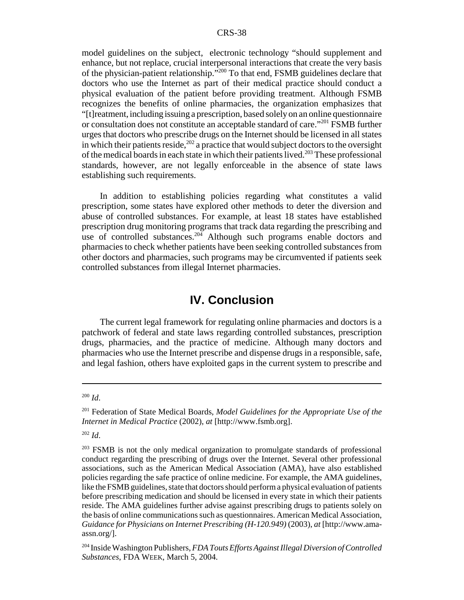model guidelines on the subject, electronic technology "should supplement and enhance, but not replace, crucial interpersonal interactions that create the very basis of the physician-patient relationship."200 To that end, FSMB guidelines declare that doctors who use the Internet as part of their medical practice should conduct a physical evaluation of the patient before providing treatment. Although FSMB recognizes the benefits of online pharmacies, the organization emphasizes that "[t]reatment, including issuing a prescription, based solely on an online questionnaire or consultation does not constitute an acceptable standard of care."201 FSMB further urges that doctors who prescribe drugs on the Internet should be licensed in all states in which their patients reside,  $202$  a practice that would subject doctors to the oversight of the medical boards in each state in which their patients lived.<sup>203</sup> These professional standards, however, are not legally enforceable in the absence of state laws establishing such requirements.

In addition to establishing policies regarding what constitutes a valid prescription, some states have explored other methods to deter the diversion and abuse of controlled substances. For example, at least 18 states have established prescription drug monitoring programs that track data regarding the prescribing and use of controlled substances.<sup>204</sup> Although such programs enable doctors and pharmacies to check whether patients have been seeking controlled substances from other doctors and pharmacies, such programs may be circumvented if patients seek controlled substances from illegal Internet pharmacies.

## **IV. Conclusion**

The current legal framework for regulating online pharmacies and doctors is a patchwork of federal and state laws regarding controlled substances, prescription drugs, pharmacies, and the practice of medicine. Although many doctors and pharmacies who use the Internet prescribe and dispense drugs in a responsible, safe, and legal fashion, others have exploited gaps in the current system to prescribe and

<sup>200</sup> *Id*.

<sup>201</sup> Federation of State Medical Boards, *Model Guidelines for the Appropriate Use of the Internet in Medical Practice* (2002), *at* [http://www.fsmb.org].

<sup>202</sup> *Id*.

 $^{203}$  FSMB is not the only medical organization to promulgate standards of professional conduct regarding the prescribing of drugs over the Internet. Several other professional associations, such as the American Medical Association (AMA), have also established policies regarding the safe practice of online medicine. For example, the AMA guidelines, like the FSMB guidelines, state that doctors should perform a physical evaluation of patients before prescribing medication and should be licensed in every state in which their patients reside. The AMA guidelines further advise against prescribing drugs to patients solely on the basis of online communications such as questionnaires. American Medical Association, *Guidance for Physicians on Internet Prescribing (H-120.949)* (2003), *at* [http://www.amaassn.org/].

<sup>204</sup> Inside Washington Publishers, *FDA Touts Efforts Against Illegal Diversion of Controlled Substances*, FDA WEEK, March 5, 2004.